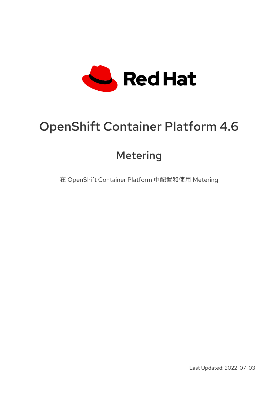

# OpenShift Container Platform 4.6

# Metering

在 OpenShift Container Platform 中配置和使用 Metering

Last Updated: 2022-07-03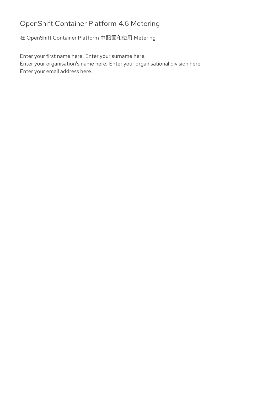在 OpenShift Container Platform 中配置和使用 Metering

Enter your first name here. Enter your surname here. Enter your organisation's name here. Enter your organisational division here. Enter your email address here.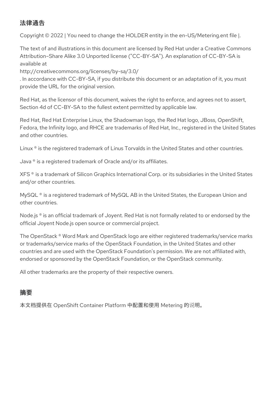# 法律通告

Copyright © 2022 | You need to change the HOLDER entity in the en-US/Metering.ent file |.

The text of and illustrations in this document are licensed by Red Hat under a Creative Commons Attribution–Share Alike 3.0 Unported license ("CC-BY-SA"). An explanation of CC-BY-SA is available at

http://creativecommons.org/licenses/by-sa/3.0/

. In accordance with CC-BY-SA, if you distribute this document or an adaptation of it, you must provide the URL for the original version.

Red Hat, as the licensor of this document, waives the right to enforce, and agrees not to assert, Section 4d of CC-BY-SA to the fullest extent permitted by applicable law.

Red Hat, Red Hat Enterprise Linux, the Shadowman logo, the Red Hat logo, JBoss, OpenShift, Fedora, the Infinity logo, and RHCE are trademarks of Red Hat, Inc., registered in the United States and other countries.

Linux ® is the registered trademark of Linus Torvalds in the United States and other countries.

Java ® is a registered trademark of Oracle and/or its affiliates.

XFS ® is a trademark of Silicon Graphics International Corp. or its subsidiaries in the United States and/or other countries.

MySQL<sup>®</sup> is a registered trademark of MySQL AB in the United States, the European Union and other countries.

Node.js ® is an official trademark of Joyent. Red Hat is not formally related to or endorsed by the official Joyent Node.js open source or commercial project.

The OpenStack ® Word Mark and OpenStack logo are either registered trademarks/service marks or trademarks/service marks of the OpenStack Foundation, in the United States and other countries and are used with the OpenStack Foundation's permission. We are not affiliated with, endorsed or sponsored by the OpenStack Foundation, or the OpenStack community.

All other trademarks are the property of their respective owners.

# 摘要

本文档提供在 OpenShift Container Platform 中配置和使用 Metering 的说明。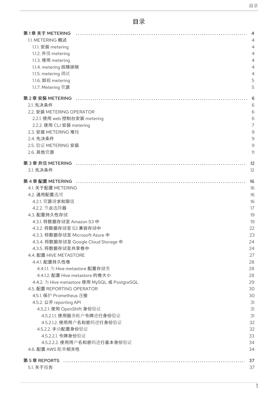# 目录

| 第1章 关于 METERING                               |                   |
|-----------------------------------------------|-------------------|
| 1.1. METERING 概述                              |                   |
| 1.1.1. 安装 metering                            |                   |
| 1.1.2. 升级 metering                            |                   |
| 1.1.3. 使用 metering                            |                   |
| 1.1.4. metering 故障排除                          |                   |
| 1.1.5. metering 调试                            |                   |
| 1.1.6. 卸载 metering                            |                   |
| 1.1.7. Metering 资源                            |                   |
|                                               |                   |
| 第2章 安装 METERING                               |                   |
| 2.1. 先决条件                                     |                   |
| 2.2. 安装 METERING OPERATOR                     |                   |
| 2.2.1. 使用 web 控制台安装 metering                  |                   |
| 2.2.2. 使用 CLI 安装 metering                     |                   |
| 2.3. 安装 METERING 堆栈                           |                   |
| 2.4. 先决条件                                     |                   |
| 2.5. 验证 METERING 安装                           |                   |
| 2.6. 其他资源                                     |                   |
| 第3章升级 METERING                                | 12                |
| 3.1. 先决条件                                     | $12 \overline{ }$ |
|                                               |                   |
| 第4章配置 METERING                                | 16                |
| 4.1. 关于配置 METERING                            | 16                |
| 4.2. 通用配置选项                                   |                   |
| 4.2.1. 资源请求和限值                                |                   |
| 4.2.2. 节点选择器                                  |                   |
| 4.3. 配置持久性存储                                  | 19                |
| 4.3.1. 将数据存储至 Amazon S3 中                     | 19                |
| 4.3.2. 将数据存储至 S3 兼容存储中                        | 22                |
| 4.3.3. 将数据存储至 Microsoft Azure 中               | 23                |
| 4.3.4. 将数据存储至 Google Cloud Storage 中          | 24                |
| 4.3.5. 将数据存储至共享卷中                             | 24                |
|                                               |                   |
| 4.4. 配置 HIVE METASTORE                        | 27                |
| 4.4.1. 配置持久性卷                                 | 28                |
| 4.4.1.1. 为 Hive metastore 配置存储类               | 28                |
| 4.4.1.2. 配置 Hive metastore 的卷大小               | 28                |
| 4.4.2. 为 Hive metastore 使用 MySQL 或 PostgreSQL | 29                |
| 4.5. 配置 REPORTING OPERATOR                    | 30                |
| 4.5.1. 保护 Prometheus 连接                       | 30                |
| 4.5.2. 公开 reporting API                       | 31                |
| 4.5.2.1. 使用 OpenShift 身份验证                    | 31                |
| 4.5.2.1.1. 使用服务帐户令牌进行身份验证                     | 31                |
| 4.5.2.1.2. 使用用户名和密码进行身份验证                     | 32                |
| 4.5.2.2. 手动配置身份验证                             | 32                |
| 4.5.2.2.1. 令牌身份验证                             | 33                |
| 4.5.2.2.2. 使用用户名和密码进行基本身份验证                   | 34                |
| 4.6. 配置 AWS 账单相关性                             | 34                |
|                                               |                   |
| 第5章 REPORTS                                   | 37                |
| 5.1. 关于报告                                     | 37                |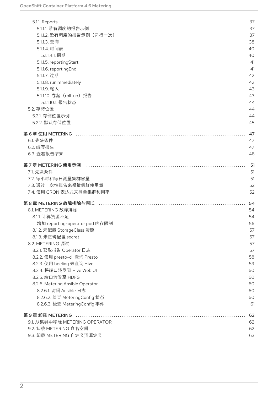| 5.1.1. Reports                   | 37  |
|----------------------------------|-----|
| 5.1.1.1. 带有调度的报告示例               | 37  |
| 5.1.1.2. 没有调度的报告示例(运行一次)         | 37  |
| 5.1.1.3. 查询                      | 38  |
| 5.1.1.4. 时间表                     | 40  |
| 5.1.1.4.1. 周期                    | 40  |
| 5.1.1.5. reportingStart          | -41 |
|                                  |     |
| 5.1.1.6. reportingEnd            | 41  |
| 5.1.1.7. 过期                      | 42  |
| 5.1.1.8. runlmmediately          | 42  |
| 5.1.1.9. 输入                      | 43  |
| 5.1.1.10. 卷起 (roll-up) 报告        | 43  |
| 5.1.1.10.1. 报告状态                 | 44  |
| 5.2. 存储位置                        | 44  |
| 5.2.1. 存储位置示例                    | 44  |
| 5.2.2. 默认存储位置                    | 45  |
|                                  |     |
| 第6章 使用 METERING                  | -47 |
| 6.1. 先决条件                        | 47  |
| 6.2. 编写报告                        | 47  |
| 6.3. 查看报告结果                      | 48  |
|                                  |     |
| 第7章 METERING 使用示例                |     |
| 7.1. 先决条件                        | 51  |
| 7.2. 每小时和每日测量集群容量                | 51  |
| 7.3. 通过一次性报告来衡量集群使用量             | 52  |
| 7.4. 使用 CRON 表达式来测量集群利用率         | 52  |
|                                  |     |
| 第8章 METERING 故障排除与调试             | 54  |
| 8.1. METERING 故障排除               | 54  |
| 8.1.1. 计算资源不足                    | 54  |
| 增加 reporting-operator pod 内存限制   | 56  |
| 8.1.2. 未配置 StorageClass 资源       | 57  |
| 8.1.3. 未正确配置 secret              |     |
|                                  | 57  |
| 8.2. METERING 调试                 | 57  |
| 8.2.1. 获取报告 Operator 日志          | 57  |
| 8.2.2. 使用 presto-cli 查询 Presto   | 58  |
| 8.2.3. 使用 beeling 来查询 Hive       | 59  |
| 8.2.4. 将端口转发到 Hive Web UI        | 60  |
| 8.2.5. 端口转发至 HDFS                | 60  |
| 8.2.6. Metering Ansible Operator | 60  |
| 8.2.6.1. 访问 Ansible 日志           | 60  |
| 8.2.6.2. 检查 MeteringConfig 状态    | 60  |
| 8.2.6.3. 检查 MeteringConfig 事件    | 61  |
|                                  |     |
|                                  | 62  |
| 9.1. 从集群中移除 METERING OPERATOR    | 62  |
| 9.2. 卸载 METERING 命名空间            | 62  |
| 9.3. 卸载 METERING 自定义资源定义         | 63  |
|                                  |     |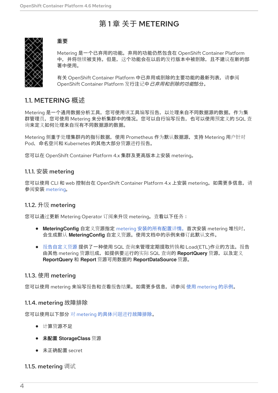# 第 1 章 关于 METERING

<span id="page-7-0"></span>

## 重要

Metering 是一个已弃用的功能。弃用的功能仍然包含在 OpenShift Container Platform 中,并将继续被支持。但是,这个功能会在以后的发行版本中被删除,且不建议在新的部 署中使用。

有关 OpenShift Container Platform 中已弃用或删除的主要功能的最新列表,请参阅 OpenShift Container Platform 发行注记中*已弃用和删除的功能*部分。

# <span id="page-7-1"></span>1.1. METERING 概述

Metering 是一个通用数据分析工具,您可使用该工具编写报告,以处理来自不同数据源的数据。作为集 群管理员,您可使用 Metering 来分析集群中的情况。您可以自行编写报告,也可以使用预定义的 SQL 查 询来定义如何处理来自现有不同数据源的数据。

Metering 侧重于处理集群内的指标数据,使用 Prometheus 作为默认数据源,支持 Metering 用户针对 Pod、命名空间和 Kubernetes 的其他大部分资源进行报告。

您可以在 OpenShift Container Platform 4.x 集群及更高版本上安装 metering。

### <span id="page-7-2"></span>1.1.1. 安装 metering

您可以使用 CLI 和 web 控制台在 OpenShift Container Platform 4.x 上安装 metering。如需更多信息,请 参阅安装 [metering](https://access.redhat.com/documentation/en-us/openshift_container_platform/4.6/html-single/metering/#metering-install-prerequisites_installing-metering)。

### <span id="page-7-3"></span>1.1.2. 升级 metering

您可以通过更新 Metering Operator 订阅来升级 metering。查看以下任务:

- **MeteringConfig** 自定义资源指定 metering [安装的所有配置](https://access.redhat.com/documentation/en-us/openshift_container_platform/4.6/html-single/metering/#metering-about-configuring)详情。首次安装 metering 堆栈时, 会生成默认 **MeteringConfig** 自定义资源。使用文档中的示例来修订此默认文件。
- 报[告自定](https://access.redhat.com/documentation/en-us/openshift_container_platform/4.6/html-single/metering/#metering-about-reports)义资源 提供了一种使用 SQL 查询来管理定期提取转换和 Load(ETL)作业的方法。报告 由其他 metering 资源组成,如提供要运行的实际 SQL 查询的 **ReportQuery** 资源,以及定义 **ReportQuery** 和 **Report** 资源可用数据的 **ReportDataSource** 资源。

### <span id="page-7-4"></span>1.1.3. 使用 metering

您可以使用 metering 来编写报告和查看报告结果。如需更多信息,请参阅 使用 [metering](https://access.redhat.com/documentation/en-us/openshift_container_platform/4.6/html-single/metering/#metering-usage-examples) 的示例。

### <span id="page-7-5"></span>1.1.4. metering 故障排除

您可以使用以下部分 对 metering 的具体问题进[行故障排除。](https://access.redhat.com/documentation/en-us/openshift_container_platform/4.6/html-single/metering/#metering-troubleshooting_metering-troubleshooting-debugging)

- 计算资源不足
- 未配置 **StorageClass** 资源
- 未正确配置 secret

### <span id="page-7-6"></span>1.1.5. metering 调试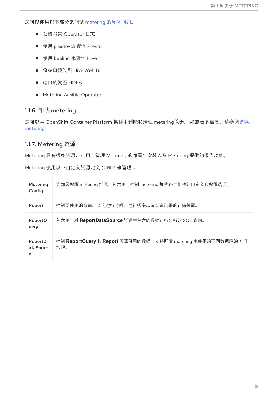您可以使用以下部分来调试 [metering](https://access.redhat.com/documentation/en-us/openshift_container_platform/4.6/html-single/metering/#metering-debugging_metering-troubleshooting-debugging) 的具体问题。

- 获取报告 Operator 日志
- 使用 presto-cli 查询 Presto
- 使用 beeling 来查询 Hive
- 将端口转发到 Hive Web UI  $\bullet$
- 端口转发至 HDFS
- Metering Ansible Operator

# <span id="page-8-0"></span>1.1.6. 卸载 metering

您可以从 OpenShift Container Platform 集群中删除和清理 metering 资[源。如需更多信息,](https://access.redhat.com/documentation/en-us/openshift_container_platform/4.6/html-single/metering/#metering-uninstall)请参阅 卸载 metering。

### <span id="page-8-1"></span>1.1.7. Metering 资源

Metering 具有很多资源,可用于管理 Metering 的部署与安装以及 Metering 提供的报告功能。

Metering 使用以下自定义资源定义 (CRD) 来管理:

| Metering<br>Config       | 为部署配置 metering 堆栈。包含用于控制 metering 堆栈各个组件的自定义和配置选项。                |
|--------------------------|-------------------------------------------------------------------|
| Report                   | 控制要使用的查询、查询运行时间、运行频率以及查询结果的存储位置。                                  |
| ReportQ<br>uery          | 包含用于对 ReportDataSource 资源中包含的数据进行分析的 SQL 查询。                      |
| ReportD<br>ataSourc<br>e | 控制 ReportQuery 和 Report 资源可用的数据。支持配置 metering 中使用的不同数据库的访问<br>权限。 |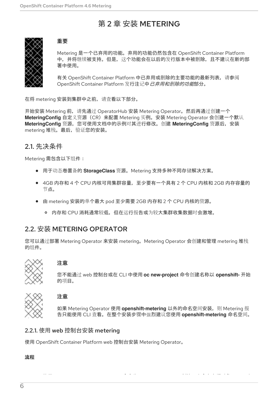# 第 2 章 安装 METERING

<span id="page-9-0"></span>

### 重要

Metering 是一个已弃用的功能。弃用的功能仍然包含在 OpenShift Container Platform 中,并将继续被支持。但是,这个功能会在以后的发行版本中被删除,且不建议在新的部 署中使用。

有关 OpenShift Container Platform 中已弃用或删除的主要功能的最新列表,请参阅 OpenShift Container Platform 发行注记中*已弃用和删除的功能*部分。

在将 metering 安装到集群中之前,请查看以下部分。

开始安装 Metering 前, 请先通过 OperatorHub 安装 Metering Operator。然后再通过创建一个 **MeteringConfig** 自定义资源(CR)来配置 Metering 实例。安装 Metering Operator 会创建一个默认 **MeteringConfig** 资源,您可使用文档中的示例对其进行修改。创建 **MeteringConfig** 资源后,安装 metering 堆栈。最后,验证您的安装。

# <span id="page-9-1"></span>2.1. 先决条件

Metering 需包含以下组件:

- 用于动态卷置备的 **StorageClass** 资源。Metering 支持多种不同存储解决方案。
- 4GB 内存和 4 个 CPU 内核可用集群容量, 至少要有一个具有 2 个 CPU 内核和 2GB 内存容量的 节点。
- 由 metering 安装的单个最大 pod 至少需要 2GB 内存和 2 个 CPU 内核的资源。
	- 内存和 CPU 消耗通常较低,但在运行报告或为较大集群收集数据时会激增。

# <span id="page-9-2"></span>2.2. 安装 METERING OPERATOR

您可以通过部署 Metering Operator 来安装 metering。Metering Operator 会创建和管理 metering 堆栈 的组件。



### 注意

您不能通过 web 控制台或在 CLI 中使用 **oc new-project** 命令创建名称以 **openshift-** 开始 的项目。



### 注意

如果 Metering Operator 使用 **openshift-metering** 以外的命名空间安装, 则 Metering 报 告只能使用 CLI 查看。在整个安装步骤中强烈建议您使用 **openshift-metering** 命名空间。

1. 使用 **oc create -f <file-name>.yaml** 命令为 Metering Operator 创建一个命名空间对象 YAML 文

### <span id="page-9-3"></span>2.2.1. 使用 web 控制台安装 metering

使用 OpenShift Container Platform web 控制台安装 Metering Operator。

### 流程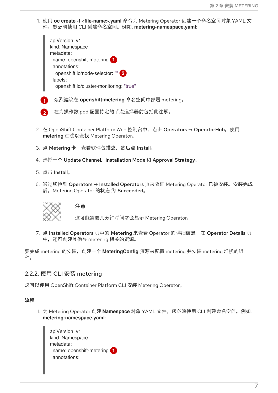1. 使用 **oc create -f <file-name>.yaml** 命令为 Metering Operator 创建一个命名空间对象 YAML 文 件。您必须使用 CLI 创建命名空间。例如, **metering-namespace.yaml**:

<span id="page-10-1"></span>

| apiVersion: v1<br>kind: Namespace<br>metadata: |
|------------------------------------------------|
| name: openshift-metering 1                     |
| annotations:                                   |
| openshift.io/node-selector: "" 2               |
| lahels:                                        |
| openshift.io/cluster-monitoring: "true"        |
|                                                |

<span id="page-10-2"></span>强烈建议在 **openshift-metering** 命名空间中部署 metering。



在为操作数 pod 配置特定的节点选择器前包括此注解。

- 2. 在 OpenShift Container Platform Web 控制台中, 点击 Operators → OperatorHub。使用 **metering** 过滤以查找 Metering Operator。
- 3. 点 Metering 卡, 查看软件包描述, 然后点 Install。
- 4. 选择一个 Update Channel、Installation Mode 和 Approval Strategy。
- 5. 点击 Install。
- 6. 通过切换到 Operators → Installed Operators 页来验证 Metering Operator 已被安装。安装完成 后, Metering Operator 的状态 为 Succeeded。

## 注意

这可能需要几分钟时间才会显示 Metering Operator。

7. 点 Installed Operators 页中的 Metering 来查看 Operator 的详细信息。在 Operator Details 页 中,还可创建其他与 metering 相关的资源。

要完成 metering 的安装,创建一个 **MeteringConfig** 资源来配置 metering 并安装 metering 堆栈的组 件。

## <span id="page-10-0"></span>2.2.2. 使用 CLI 安装 metering

您可以使用 OpenShift Container Platform CLI 安装 Metering Operator。

### 流程

1. 为 Metering Operator 创建 **Namespace** 对象 YAML 文件。您必须使用 CLI 创建命名空间。例如, **metering-namespace.yaml**:

<span id="page-10-3"></span>apiVersion: v1 kind: Namespace metadata: name: openshift-metering **1** annotations: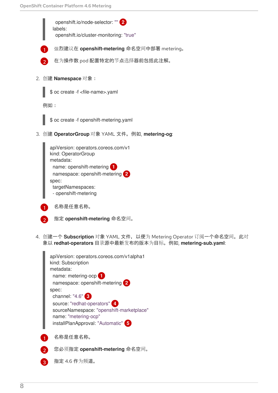<span id="page-11-0"></span>

<span id="page-11-2"></span><span id="page-11-1"></span>4. 创建一个 Subscription 对象 YAML 文件, 以便为 Metering Operator 订阅一个命名空间。此对 象以 **redhat-operators** 目录源中最新发布的版本为目标。例如, **metering-sub.yaml**:

<span id="page-11-7"></span><span id="page-11-6"></span><span id="page-11-5"></span><span id="page-11-4"></span><span id="page-11-3"></span>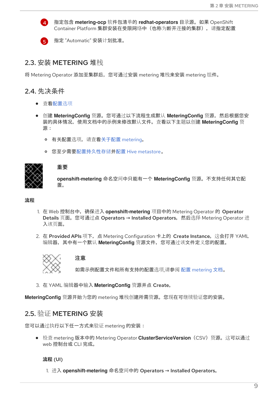

指定包含 **metering-ocp** 软件包清单的 **redhat-operators** 目录源。如果 OpenShift Container Platform 集群安装在受限网络中(也称为断开连接的集群),请指定配置



指定 "Automatic" 安装计划批准。

# <span id="page-12-0"></span>2.3. 安装 METERING 堆栈

将 Metering Operator 添加至集群后,您可通过安装 metering 堆栈来安装 metering 组件。

# <span id="page-12-1"></span>2.4. 先决条件

- 杳看配置洗项
- 创建 MeteringConfig 资源。您可通过以下流程生成默认 MeteringConfig 资源, 然后根据您安 装的具体情况,使用文档中的示例来修改默认文件。查看以下主题以创建 **MeteringConfig** 资 源:
	- 有关配置选项,请查看关于配置 [metering](https://access.redhat.com/documentation/en-us/openshift_container_platform/4.6/html-single/metering/#metering-about-configuring)。
	- 您至少需要[配置持久性存](https://access.redhat.com/documentation/en-us/openshift_container_platform/4.6/html-single/metering/#metering-configure-persistent-storage)储并配置 Hive [metastore](https://access.redhat.com/documentation/en-us/openshift_container_platform/4.6/html-single/metering/#metering-configure-hive-metastore)。

### 重要

**openshift-metering** 命名空间中只能有一个 **MeteringConfig** 资源。不支持任何其它配 置。

#### 流程

- 1. 在 Web 控制台中, 确保进入 **openshift-metering** 项目中的 Metering Operator 的 Operator Details 页面。您可通过点 Operators → Installed Operators, 然后选择 Metering Operator 进 入该页面。
- 2. 在 Provided APIs 项下, 点 Metering Configuration 卡上的 Create Instance。这会打开 YAML 编辑器,其中有一个默认 **MeteringConfig** 资源文件,您可通过该文件定义您的配置。



### 注意

如需示例配置文件和所有支持的配置选项,请参阅 配置 [metering](https://access.redhat.com/documentation/en-us/openshift_container_platform/4.6/html-single/metering/#metering-about-configuring) 文档。

3. 在 YAML 编辑器中输入 **MeteringConfig** 资源并点 Create。

**MeteringConfig** 资源开始为您的 metering 堆栈创建所需资源。您现在可继续验证您的安装。

# <span id="page-12-2"></span>2.5. 验证 METERING 安装

您可以通过执行以下任一方式来验证 metering 的安装:

检查 metering 版本中的 Metering Operator **ClusterServiceVersion**(CSV)资源。这可以通过 web 控制台或 CLI 完成。

#### 流程 (UI)

1. 进入 **openshift-metering** 命名空间中的 Operators → Installed Operators。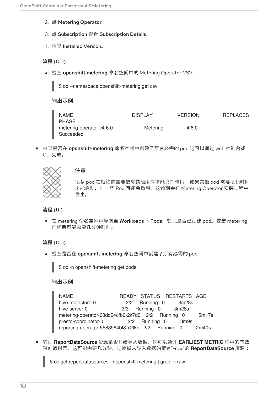- 2. 点 Metering Operator
- 3. 点 Subscription 查看 Subscription Details。
- 4. 检查 Installed Version。

### 流程 (CLI)

检查 **openshift-metering** 命名空间中的 Metering Operator CSV:



\$ oc --namespace openshift-metering get csv

输出示例

| <b>NAME</b>              | <b>DISPLAY</b> | <b>VERSION</b> | <b>REPLACES</b> |
|--------------------------|----------------|----------------|-----------------|
| PHASE                    |                |                |                 |
| metering-operator.v4.6.0 | Metering       | 4.6.0          |                 |
| Succeeded                |                |                |                 |

检查是否在 **openshift-metering** 命名空间中创建了所有必需的 pod:这可以通过 web 控制台或 CLI 完成。



### 注意

很多 pod 在就绪前需要依靠其他组件才能发挥作用。如果其他 pod 需要很长时间 才能启动, 则一些 Pod 可能会重启。这预期会在 Metering Operator 安装过程中 发生。

### 流程 (UI)

o 在 metering 命名空间中导航至 Workloads → Pods, 验证是否已创建 pod。安装 metering 堆栈后可能需要几分钟时间。

### 流程 (CLI)

检查是否在 **openshift-metering** 命名空间中创建了所有必需的 pod:

\$ oc -n openshift-metering get pods

### 输出示例

NAME READY STATUS RESTARTS AGE hive-metastore-0 2/2 Running 0 3m28s hive-server-0 3/3 Running 0 3m28s metering-operator-68dd64cfb6-2k7d9 2/2 Running 0 5m17s presto-coordinator-0 2/2 Running 0 3m9s reporting-operator-5588964bf8-x2tkn 2/2 Running 0 2m40s

验证 **ReportDataSource** 资源是否开始导入数据,这可以通过 **EARLIEST METRIC** 栏中的有效 时间戳指示。这可能需要几分钟。过滤掉未导入数据的带有"-raw"的 **ReportDataSource** 资源:

\$ oc get reportdatasources -n openshift-metering | grep -v raw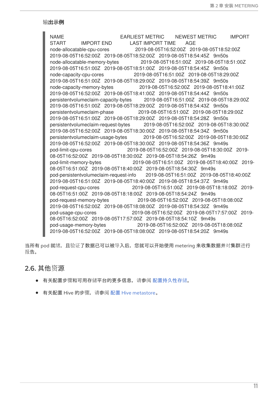输出示例

NAME EARLIEST METRIC NEWEST METRIC IMPORT START IMPORT END LAST IMPORT TIME AGE node-allocatable-cpu-cores 2019-08-05T16:52:00Z 2019-08-05T18:52:00Z 2019-08-05T16:52:00Z 2019-08-05T18:52:00Z 2019-08-05T18:54:45Z 9m50s node-allocatable-memory-bytes 2019-08-05T16:51:00Z 2019-08-05T18:51:00Z 2019-08-05T16:51:00Z 2019-08-05T18:51:00Z 2019-08-05T18:54:45Z 9m50s node-capacity-cpu-cores 2019-08-05T16:51:00Z 2019-08-05T18:29:00Z 2019-08-05T16:51:00Z 2019-08-05T18:29:00Z 2019-08-05T18:54:39Z 9m50s node-capacity-memory-bytes 2019-08-05T16:52:00Z 2019-08-05T18:41:00Z 2019-08-05T16:52:00Z 2019-08-05T18:41:00Z 2019-08-05T18:54:44Z 9m50s persistentvolumeclaim-capacity-bytes 2019-08-05T16:51:00Z 2019-08-05T18:29:00Z 2019-08-05T16:51:00Z 2019-08-05T18:29:00Z 2019-08-05T18:54:43Z 9m50s persistentvolumeclaim-phase 2019-08-05T16:51:00Z 2019-08-05T18:29:00Z 2019-08-05T16:51:00Z 2019-08-05T18:29:00Z 2019-08-05T18:54:28Z 9m50s persistentvolumeclaim-request-bytes 2019-08-05T16:52:00Z 2019-08-05T18:30:00Z 2019-08-05T16:52:00Z 2019-08-05T18:30:00Z 2019-08-05T18:54:34Z 9m50s persistentvolumeclaim-usage-bytes 2019-08-05T16:52:00Z 2019-08-05T18:30:00Z 2019-08-05T16:52:00Z 2019-08-05T18:30:00Z 2019-08-05T18:54:36Z 9m49s pod-limit-cpu-cores 2019-08-05T16:52:00Z 2019-08-05T18:30:00Z 2019- 08-05T16:52:00Z 2019-08-05T18:30:00Z 2019-08-05T18:54:26Z 9m49s pod-limit-memory-bytes 2019-08-05T16:51:00Z 2019-08-05T18:40:00Z 2019- 08-05T16:51:00Z 2019-08-05T18:40:00Z 2019-08-05T18:54:30Z 9m49s pod-persistentvolumeclaim-request-info 2019-08-05T16:51:00Z 2019-08-05T18:40:00Z 2019-08-05T16:51:00Z 2019-08-05T18:40:00Z 2019-08-05T18:54:37Z 9m49s pod-request-cpu-cores 2019-08-05T16:51:00Z 2019-08-05T18:18:00Z 2019- 08-05T16:51:00Z 2019-08-05T18:18:00Z 2019-08-05T18:54:24Z 9m49s pod-request-memory-bytes 2019-08-05T16:52:00Z 2019-08-05T18:08:00Z 2019-08-05T16:52:00Z 2019-08-05T18:08:00Z 2019-08-05T18:54:32Z 9m49s pod-usage-cpu-cores 2019-08-05T16:52:00Z 2019-08-05T17:57:00Z 2019- 08-05T16:52:00Z 2019-08-05T17:57:00Z 2019-08-05T18:54:10Z 9m49s pod-usage-memory-bytes 2019-08-05T16:52:00Z 2019-08-05T18:08:00Z 2019-08-05T16:52:00Z 2019-08-05T18:08:00Z 2019-08-05T18:54:20Z 9m49s

当所有 pod 就绪, 且验证了数据已可以被导入后, 您就可以开始使用 metering 来收集数据并对集群进行 报告。

# <span id="page-14-0"></span>2.6. 其他资源

- 有关配置步骤和可用存储平台的更多信息, 请参阅 [配置持久性存](https://access.redhat.com/documentation/en-us/openshift_container_platform/4.6/html-single/metering/#metering-configure-persistent-storage)储。
- 有关配置 Hive 的步骤, 请参阅 配置 Hive [metastore](https://access.redhat.com/documentation/en-us/openshift_container_platform/4.6/html-single/metering/#metering-configure-hive-metastore)。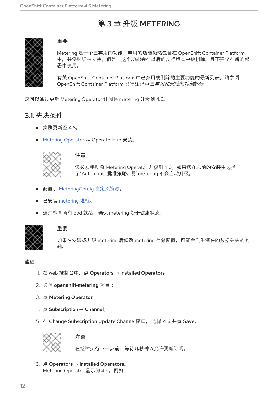# 第 3 章 升级 METERING

<span id="page-15-0"></span>

# 重要

Metering 是一个已弃用的功能。弃用的功能仍然包含在 OpenShift Container Platform 中,并将继续被支持。但是,这个功能会在以后的发行版本中被删除,且不建议在新的部 署中使用。

有关 OpenShift Container Platform 中已弃用或删除的主要功能的最新列表,请参阅 OpenShift Container Platform 发行注记中*已弃用和删除的功能*部分。

您可以通过更新 Metering Operator 订阅将 metering 升级到 4.6。

# <span id="page-15-1"></span>3.1. 先决条件

- 集群更新至 4.6。
- **Metering [Operator](https://access.redhat.com/documentation/en-us/openshift_container_platform/4.6/html-single/metering/#metering-install-operator_installing-metering) 从 OperatorHub 安装。**



### 注意

您必须手动将 Metering Operator 升级到 4.6。如果您在以前的安装中选择 了"Automatic" 批准策略, 则 metering 不会自动升级。

- 配置了 [MeteringConfig](https://access.redhat.com/documentation/en-us/openshift_container_platform/4.6/html-single/metering/#metering-about-configuring) 自定义资源。
- 已安装 [metering](https://access.redhat.com/documentation/en-us/openshift_container_platform/4.6/html-single/metering/#metering-install-metering-stack_installing-metering) 堆栈。
- 通过检查所有 pod 就绪, 确保 metering 处于健康状态。



# 重要

如果在安装或升级 metering 后修改 metering 存储配置,可能会发生潜在的数据丢失的问 题。

## 流程

- 1. 在 web 控制台中, 点 Operators → Installed Operators。
- 2. 选择 **openshift-metering** 项目:
- 3. 点 Metering Operator
- 4. 点 Subscription → Channel。
- 5. 在 Change Subscription Update Channel窗口, ,选择 4.6 并点 Save。



# 注意

在继续执行下一步前,等待几秒钟以允许更新订阅。

6. 点 Operators → Installed Operators。 Metering Operator 显示为 4.6。例如: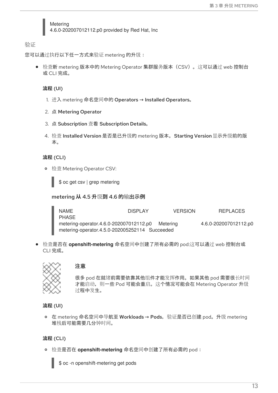### Metering

4.6.0-202007012112.p0 provided by Red Hat, Inc

### 验证

您可以通过执行以下任一方式来验证 metering 的升级:

● 检查新 metering 版本中的 Metering Operator 集群服务版本 (CSV) 。这可以通过 web 控制台 或 CLI 完成。

### 流程 (UI)

- 1. 进入 metering 命名空间中的 Operators → Installed Operators。
- 2. 点 Metering Operator
- 3. 点 Subscription 查看 Subscription Details。
- 4. 检查 Installed Version 是否是已升级的 metering 版本。Starting Version显示升级前的版 本。

### 流程 (CLI)

检查 Metering Operator CSV:

\$ oc get csv | grep metering

metering 从 4.5 升级到 4.6 的输出示例

NAME DISPLAY VERSION REPLACES PHASE metering-operator.4.6.0-202007012112.p0 Metering 4.6.0-202007012112.p0 metering-operator.4.5.0-202005252114 Succeeded

检查是否在 **openshift-metering** 命名空间中创建了所有必需的 pod:这可以通过 web 控制台或 CLI 完成。



#### 注意

很多 pod 在就绪前需要依靠其他组件才能发挥作用。如果其他 pod 需要很长时间 才能启动, 则一些 Pod 可能会重启。这个情况可能会在 Metering Operator 升级 过程中发生。

### 流程 (UI)

o 在 metering 命名空间中导航至 Workloads → Pods, 验证是否已创建 pod。升级 metering 堆栈后可能需要几分钟时间。

### 流程 (CLI)

检查是否在 **openshift-metering** 命名空间中创建了所有必需的 pod:

\$ oc -n openshift-metering get pods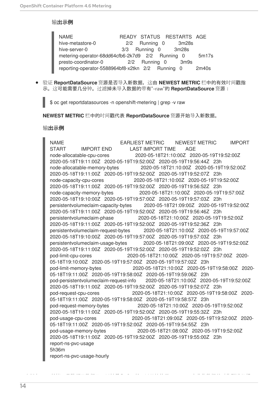输出示例

NAME READY STATUS RESTARTS AGE hive-metastore-0 2/2 Running 0 3m28s hive-server-0 3/3 Running 0 3m28s metering-operator-68dd64cfb6-2k7d9 2/2 Running 0 5m17s presto-coordinator-0 2/2 Running 0 3m9s reporting-operator-5588964bf8-x2tkn 2/2 Running 0 2m40s

验证 **ReportDataSource** 资源是否导入新数据,这由 **NEWEST METRIC** 栏中的有效时间戳指 示。这可能需要几分钟。过滤掉未导入数据的带有"-raw"的 **ReportDataSource** 资源:

\$ oc get reportdatasources -n openshift-metering | grep -v raw

**NEWEST METRIC** 栏中的时间戳代表 **ReportDataSource** 资源开始导入新数据。

输出示例

NAME EARLIEST METRIC NEWEST METRIC IMPORT START IMPORT END LAST IMPORT TIME AGE node-allocatable-cpu-cores 2020-05-18T21:10:00Z 2020-05-19T19:52:00Z 2020-05-18T19:11:00Z 2020-05-19T19:52:00Z 2020-05-19T19:56:44Z 23h node-allocatable-memory-bytes 2020-05-18T21:10:00Z 2020-05-19T19:52:00Z 2020-05-18T19:11:00Z 2020-05-19T19:52:00Z 2020-05-19T19:52:07Z 23h node-capacity-cpu-cores 2020-05-18T21:10:00Z 2020-05-19T19:52:00Z 2020-05-18T19:11:00Z 2020-05-19T19:52:00Z 2020-05-19T19:56:52Z 23h node-capacity-memory-bytes 2020-05-18T21:10:00Z 2020-05-19T19:57:00Z 2020-05-18T19:10:00Z 2020-05-19T19:57:00Z 2020-05-19T19:57:03Z 23h persistentvolumeclaim-capacity-bytes 2020-05-18T21:09:00Z 2020-05-19T19:52:00Z 2020-05-18T19:11:00Z 2020-05-19T19:52:00Z 2020-05-19T19:56:46Z 23h persistentvolumeclaim-phase 2020-05-18T21:10:00Z 2020-05-19T19:52:00Z 2020-05-18T19:11:00Z 2020-05-19T19:52:00Z 2020-05-19T19:52:36Z 23h persistentvolumeclaim-request-bytes 2020-05-18T21:10:00Z 2020-05-19T19:57:00Z 2020-05-18T19:10:00Z 2020-05-19T19:57:00Z 2020-05-19T19:57:03Z 23h persistentvolumeclaim-usage-bytes 2020-05-18T21:09:00Z 2020-05-19T19:52:00Z 2020-05-18T19:11:00Z 2020-05-19T19:52:00Z 2020-05-19T19:52:02Z 23h pod-limit-cpu-cores 2020-05-18T21:10:00Z 2020-05-19T19:57:00Z 2020- 05-18T19:10:00Z 2020-05-19T19:57:00Z 2020-05-19T19:57:02Z 23h pod-limit-memory-bytes 2020-05-18T21:10:00Z 2020-05-19T19:58:00Z 2020- 05-18T19:11:00Z 2020-05-19T19:58:00Z 2020-05-19T19:59:06Z 23h pod-persistentvolumeclaim-request-info 2020-05-18T21:10:00Z 2020-05-19T19:52:00Z 2020-05-18T19:11:00Z 2020-05-19T19:52:00Z 2020-05-19T19:52:07Z 23h pod-request-cpu-cores 2020-05-18T21:10:00Z 2020-05-19T19:58:00Z 2020- 05-18T19:11:00Z 2020-05-19T19:58:00Z 2020-05-19T19:58:57Z 23h pod-request-memory-bytes 2020-05-18T21:10:00Z 2020-05-19T19:52:00Z 2020-05-18T19:11:00Z 2020-05-19T19:52:00Z 2020-05-19T19:55:32Z 23h pod-usage-cpu-cores 2020-05-18T21:09:00Z 2020-05-19T19:52:00Z 2020- 05-18T19:11:00Z 2020-05-19T19:52:00Z 2020-05-19T19:54:55Z 23h pod-usage-memory-bytes 2020-05-18T21:08:00Z 2020-05-19T19:52:00Z 2020-05-18T19:11:00Z 2020-05-19T19:52:00Z 2020-05-19T19:55:00Z 23h report-ns-pvc-usage 5h36m report-ns-pvc-usage-hourly

当所有 Pod 就绪,且验证了数据已可以被导入后,就可以开始使用 metering 来收集数据并对集群进行报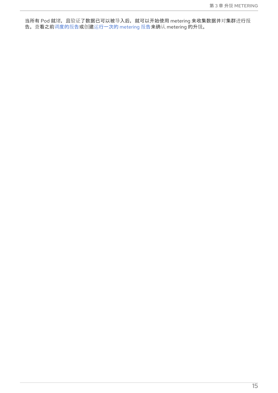当所有 Pod 就绪, 且验证了数据已可以被导入后, 就可以开始使用 metering 来收集数据并对集群进行报 告。查看之前调[度的](https://access.redhat.com/documentation/en-us/openshift_container_platform/4.6/html-single/metering/#metering-example-report-with-schedule_metering-about-reports)报告或创建运行一次的 [metering](https://access.redhat.com/documentation/en-us/openshift_container_platform/4.6/html-single/metering/#metering-example-report-without-schedule_metering-about-reports) 报告来确认 metering 的升级。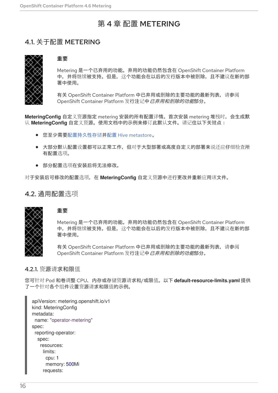# 第 4 章 配置 METERING

# <span id="page-19-1"></span><span id="page-19-0"></span>4.1. 关于配置 METERING



## 重要

Metering 是一个已弃用的功能。弃用的功能仍然包含在 OpenShift Container Platform 中,并将继续被支持。但是,这个功能会在以后的发行版本中被删除,且不建议在新的部 署中使用。

有关 OpenShift Container Platform 中已弃用或删除的主要功能的最新列表,请参阅 OpenShift Container Platform 发行注记中*已弃用和删除的功能*部分。

**MeteringConfig** 自定义资源指定 metering 安装的所有配置详情。首次安装 metering 堆栈时,会生成默 认 **MeteringConfig** 自定义资源。使用文档中的示例来修订此默认文件。请记住以下关键点:

- 您至少需[要配置持久性存](https://access.redhat.com/documentation/en-us/openshift_container_platform/4.6/html-single/metering/#metering-configure-persistent-storage)储并配置 Hive [metastore](https://access.redhat.com/documentation/en-us/openshift_container_platform/4.6/html-single/metering/#metering-configure-hive-metastore)。
- 大部分默认配置设置都可以正常工作,但对于大型部署或高度自定义的部署来说还应仔细检查所 有配置选项。
- 部分配置选项在安装后将无法修改。

对于安装后可修改的配置选项,在 **MeteringConfig** 自定义资源中进行更改并重新应用该文件。

# <span id="page-19-2"></span>4.2. 通用配置选项



# 重要

Metering 是一个已弃用的功能。弃用的功能仍然包含在 OpenShift Container Platform 中,并将继续被支持。但是,这个功能会在以后的发行版本中被删除,且不建议在新的部 署中使用。

有关 OpenShift Container Platform 中已弃用或删除的主要功能的最新列表,请参阅 OpenShift Container Platform 发行注记中*已弃用和删除的功能*部分。

## <span id="page-19-3"></span>4.2.1. 资源请求和限值

您可针对 Pod 和卷调整 CPU、内存或存储资源请求和/或限值。以下 **default-resource-limits.yaml** 提供 了一个针对各个组件设置资源请求和限值的示例。

```
apiVersion: metering.openshift.io/v1
kind: MeteringConfig
metadata:
 name: "operator-metering"
spec:
 reporting-operator:
  spec:
   resources:
    limits:
      cpu: 1
      memory: 500Mi
     requests:
```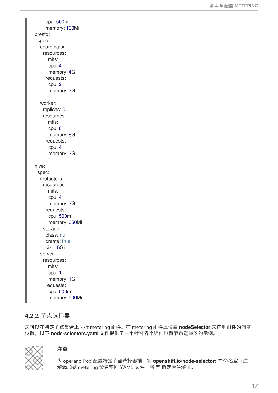cpu: 500m memory: 100Mi presto: spec: coordinator: resources: limits: cpu: 4 memory: 4Gi requests: cpu: 2 memory: 2Gi worker: replicas: 0 resources: limits: cpu: 8 memory: 8Gi requests: cpu: 4 memory: 2Gi hive: spec: metastore: resources: limits: cpu: 4 memory: 2Gi requests: cpu: 500m memory: 650Mi storage: class: null create: true size: 5Gi server: resources: limits: cpu: 1 memory: 1Gi requests: cpu: 500m memory: 500Mi

## <span id="page-20-0"></span>4.2.2. 节点选择器

您可以在特定节点集合上运行 metering 组件。在 metering 组件上设置 **nodeSelector** 来控制组件的调度 位置。以下 **node-selectors.yaml** 文件提供了一个针对各个组件设置节点选择器的示例。



### 注意

为 operand Pod 配置特定节点选择器前,将 **openshift.io/node-selector: ""** 命名空间注 解添加到 metering 命名空间 YAML 文件。将 **""** 指定为注解值。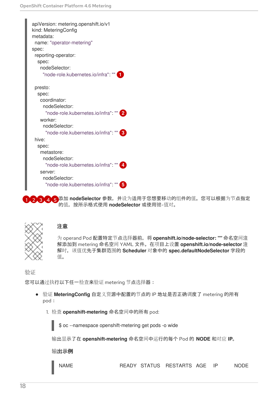```
apiVersion: metering.openshift.io/v1
kind: MeteringConfig
metadata:
 name: "operator-metering"
spec:
 reporting-operator:
  spec:
   nodeSelector:
    "node-role.kubernetes.io/infra": "" 1
 presto:
  spec:
   coordinator:
    nodeSelector:
      "node-role.kubernetes.io/infra": "" 2
   worker:
    nodeSelector:
      "node-role.kubernetes.io/infra": "" 3
 hive:
  spec:
   metastore:
    nodeSelector:
      "node-role.kubernetes.io/infra": "" 4
   server:
     nodeSelector:
      "node-role.kubernetes.io/infra": "" 5
```
<span id="page-21-3"></span><span id="page-21-2"></span><span id="page-21-1"></span>**[2](#page-21-1) [3](#page-21-2) [4](#page-21-3) [5](#page-21-4) 添加 nodeSelector** 参数,并设为适用于您想要移动的组件的值。您可以根据为节点指定 的值,按所示格式使用 **nodeSelector** 或使用键-值对。



## <span id="page-21-4"></span>注意

为 operand Pod 配置特定节点选择器前,将 **openshift.io/node-selector: ""** 命名空间注 解添加到 metering 命名空间 YAML 文件。在项目上设置 **openshift.io/node-selector** 注 解时,该值优先于集群范围的 **Scheduler** 对象中的 **spec.defaultNodeSelector** 字段的 值。

验证

您可以通过执行以下任一检查来验证 metering 节点选择器:

- 验证 **MeteringConfig** 自定义资源中配置的节点的 IP 地址是否正确调度了 metering 的所有 pod:
	- 1. 检查 **openshift-metering** 命名空间中的所有 pod:



输出显示了在 **openshift-metering** 命名空间中运行的每个 Pod 的 **NODE** 和对应 **IP**。

输出示例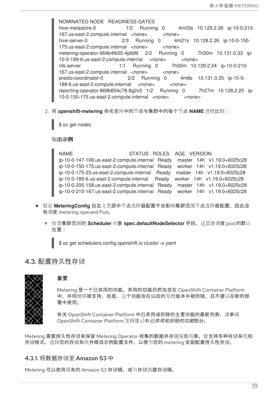NOMINATED NODE READINESS GATES hive-metastore-0 1/2 Running 0 4m33s 10.129.2.26 ip-10-0-210-167.us-east-2.compute.internal <none> <none> hive-server-0 2/3 Running 0 4m21s 10.128.2.26 ip-10-0-150- 175.us-east-2.compute.internal <none> <none> metering-operator-964b4fb55-4p699 2/2 Running 0 7h30m 10.131.0.33 ip-10-0-189-6.us-east-2.compute.internal <none> <none> nfs-server 1/1 Running 0 7h30m 10.129.2.24 ip-10-0-210- 167.us-east-2.compute.internal <none> <none> presto-coordinator-0 2/2 Running 0 4m8s 10.131.0.35 ip-10-0- 189-6.us-east-2.compute.internal <none> <none> reporting-operator-869b854c78-8g2x5 1/2 Running 0 7h27m 10.128.2.25 ip-10-0-150-175.us-east-2.compute.internal <none> <none>

2. 将 **openshift-metering** 命名空间中的节点与集群中的每个节点 **NAME** 进行比较:

\$ oc get nodes

输出示例

NAME STATUS ROLES AGE VERSION ip-10-0-147-106.us-east-2.compute.internal Ready master 14h v1.19.0+6025c28 ip-10-0-150-175.us-east-2.compute.internal Ready worker 14h v1.19.0+6025c28 ip-10-0-175-23.us-east-2.compute.internal Ready master 14h v1.19.0+6025c28 ip-10-0-189-6.us-east-2.compute.internal Ready worker 14h v1.19.0+6025c28 ip-10-0-205-158.us-east-2.compute.internal Ready master 14h v1.19.0+6025c28 ip-10-0-210-167.us-east-2.compute.internal Ready worker 14h v1.19.0+6025c28

- 验证 **MeteringConfig** 自定义资源中节点选择器配置不会影响集群范围节点选择器配置,因此没 有调度 metering operand Pod。
	- 检查集群范围的 **Scheduler** 对象 **spec.defaultNodeSelector** 字段,这显示调度 pod 的默认 位置:

\$ oc get schedulers.config.openshift.io cluster -o yaml

# <span id="page-22-0"></span>4.3. 配置持久性存储



### 重要

Metering 是一个已弃用的功能。弃用的功能仍然包含在 OpenShift Container Platform 中,并将继续被支持。但是,这个功能会在以后的发行版本中被删除,且不建议在新的部 署中使用。

有关 OpenShift Container Platform 中已弃用或删除的主要功能的最新列表,请参阅 OpenShift Container Platform 发行注记中*已弃用和删除的功能*部分。

Metering 需要持久性存储来保留 Metering Operator 收集的数据并存储报告结果。它支持多种存储系统和 存储格式。选择您的存储系统并修改示例配置文件,以便为您的 metering 安装配置持久性存储。

## <span id="page-22-1"></span>4.3.1. 将数据存储至 Amazon S3 中

Metering 可以使用现有的 Amazon S3 存储桶, 或为存储创建存储桶。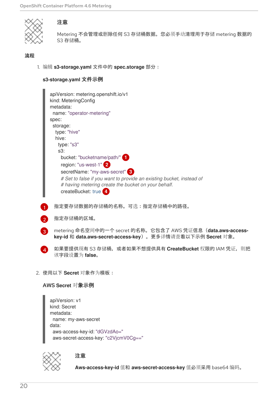

# 注意

Metering 不会管理或删除任何 S3 存储桶数据。您必须手动清理用于存储 metering 数据的 S3 存储桶。

### 流程

1. 编辑 **s3-storage.yaml** 文件中的 **spec.storage** 部分:

### **s3-storage.yaml** 文件示例



- <span id="page-23-3"></span><span id="page-23-2"></span><span id="page-23-1"></span><span id="page-23-0"></span>指定存储桶的区域。
- [3](#page-23-2) metering 命名空间中的一个 secret 的名称。它包含了 AWS 凭证信息(**data.aws-accesskey-id** 和 **data.aws-secret-access-key**)。更多详情请查看以下示例 **Secret** 对象。



[2](#page-23-1)

如果要提供现有 S3 存储桶, 或者如果不想提供具有 CreateBucket 权限的 IAM 凭证, 则把 该字段设置为 **false**。

2. 使用以下 **Secret** 对象作为模板:

### AWS **Secret** 对象示例

```
apiVersion: v1
kind: Secret
metadata:
 name: my-aws-secret
data:
 aws-access-key-id: "dGVzdAo="
 aws-secret-access-key: "c2VjcmV0Cg=="
```
### 注意

**Aws-access-key-id** 值和 **aws-secret-access-key** 值必须采用 base64 编码。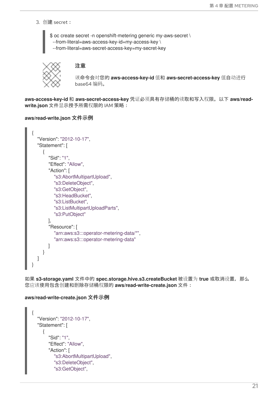3. 创建 secret:

\$ oc create secret -n openshift-metering generic my-aws-secret \ --from-literal=aws-access-key-id=my-access-key \ --from-literal=aws-secret-access-key=my-secret-key



### 注意

该命令会对您的 **aws-access-key-id** 值和 **aws-secret-access-key** 值自动进行 base64 编码。

**aws-access-key-id** 和 **aws-secret-access-key** 凭证必须具有存储桶的读取和写入权限。以下 **aws/readwrite.json** 文件显示授予所需权限的 IAM 策略:

### **aws/read-write.json** 文件示例

```
{
  "Version": "2012-10-17",
  "Statement": [
     {
       "Sid": "1",
       "Effect": "Allow",
       "Action": [
          "s3:AbortMultipartUpload",
          "s3:DeleteObject",
          "s3:GetObject",
          "s3:HeadBucket",
          "s3:ListBucket",
          "s3:ListMultipartUploadParts",
          "s3:PutObject"
       ],
       "Resource": [
          "arn:aws:s3:::operator-metering-data/*",
          "arn:aws:s3:::operator-metering-data"
       ]
     }
  ]
}
```
如果 **s3-storage.yaml** 文件中的 **spec.storage.hive.s3.createBucket** 被设置为 **true** 或取消设置,那么 您应该使用包含创建和删除存储桶权限的 **aws/read-write-create.json** 文件:

#### **aws/read-write-create.json** 文件示例

```
{
  "Version": "2012-10-17",
  "Statement": [
     \{"Sid": "1",
       "Effect": "Allow",
       "Action": [
          "s3:AbortMultipartUpload",
          "s3:DeleteObject",
          "s3:GetObject",
```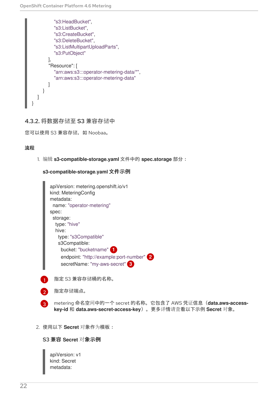

# <span id="page-25-0"></span>4.3.2. 将数据存储至 S3 兼容存储中

您可以使用 S3 兼容存储, 如 Noobaa。

### 流程

1. 编辑 **s3-compatible-storage.yaml** 文件中的 **spec.storage** 部分:

### **s3-compatible-storage.yaml** 文件示例

| apiVersion: metering.openshift.io/v1<br>kind: MeteringConfig<br>metadata: |
|---------------------------------------------------------------------------|
| name: "operator-metering"                                                 |
| spec:                                                                     |
| storage:                                                                  |
| type: "hive"                                                              |
| hive:                                                                     |
| type: "s3Compatible"                                                      |
| s3Compatible:                                                             |
| bucket: "bucketname" [1]                                                  |
| endpoint: "http://example:port-number" 2                                  |
| secretName: "my-aws-secret" 3                                             |
| 指定 S3 兼容存储桶的名称。                                                           |

<span id="page-25-3"></span><span id="page-25-2"></span><span id="page-25-1"></span>[1](#page-25-1)

 $\mathbf{R}$ 

metering 命名空间中的一个 secret 的名称。它包含了 AWS 凭证信息(**data.aws-accesskey-id** 和 **data.aws-secret-access-key**)。更多详情请查看以下示例 **Secret** 对象。

2. 使用以下 **Secret** 对象作为模板:

### S3 兼容 **Secret** 对象示例

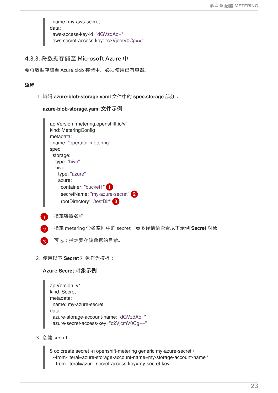name: my-aws-secret data: aws-access-key-id: "dGVzdAo=" aws-secret-access-key: "c2VjcmV0Cg=="

### <span id="page-26-0"></span>4.3.3. 将数据存储至 Microsoft Azure 中

要将数据存储至 Azure blob 存储中,必须使用已有容器。

### 流程

1. 编辑 **azure-blob-storage.yaml** 文件中的 **spec.storage** 部分:

#### **azure-blob-storage.yaml** 文件示例

| apiVersion: metering.openshift.io/v1<br>kind: MeteringConfig |
|--------------------------------------------------------------|
| metadata:                                                    |
| name: "operator-metering"                                    |
| spec:                                                        |
| storage:                                                     |
| type: "hive"                                                 |
| hive:                                                        |
| type: "azure"                                                |
| azure:                                                       |
| container: "bucket1" 1                                       |
| secretName: "my-azure-secret" 2                              |
| rootDirectory: "/testDir" 3                                  |
| 指定容器名称。                                                      |
|                                                              |

<span id="page-26-3"></span><span id="page-26-2"></span><span id="page-26-1"></span>指定 metering 命名空间中的 secret。更多详情请查看以下示例 **Secret** 对象。

[3](#page-26-3) 可选:指定要存储数据的目录。

[2](#page-26-2)

2. 使用以下 **Secret** 对象作为模板:

### Azure **Secret** 对象示例

```
apiVersion: v1
kind: Secret
metadata:
 name: my-azure-secret
data:
 azure-storage-account-name: "dGVzdAo="
 azure-secret-access-key: "c2VjcmV0Cg=="
```
- 3. 创建 secret:
	- \$ oc create secret -n openshift-metering generic my-azure-secret \
	- --from-literal=azure-storage-account-name=my-storage-account-name \
	- --from-literal=azure-secret-access-key=my-secret-key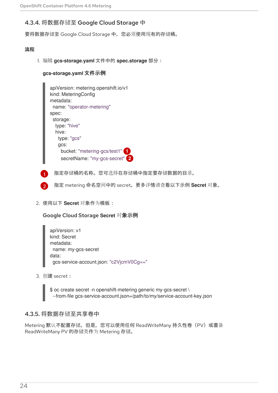# <span id="page-27-0"></span>4.3.4. 将数据存储至 Google Cloud Storage 中

要将数据存储至 Google Cloud Storage 中, 您必须使用现有的存储桶。

### 流程

1. 编辑 **gcs-storage.yaml** 文件中的 **spec.storage** 部分:

### **gcs-storage.yaml** 文件示例



<span id="page-27-3"></span><span id="page-27-2"></span>

### Google Cloud Storage **Secret** 对象示例

apiVersion: v1 kind: Secret metadata: name: my-gcs-secret data: gcs-service-account.json: "c2VjcmV0Cg=="

3. 创建 secret:

\$ oc create secret -n openshift-metering generic my-gcs-secret \ --from-file gcs-service-account.json=/path/to/my/service-account-key.json

### <span id="page-27-1"></span>4.3.5. 将数据存储至共享卷中

Metering 默认不配置存储。但是,您可以使用任何 ReadWriteMany 持久性卷 (PV) 或置备 ReadWriteMany PV 的存储类作为 Metering 存储。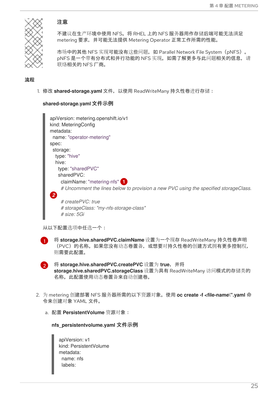

### 注意

不建议在生产环境中使用 NFS。将 RHEL 上的 NFS 服务器用作存储后端可能无法满足 metering 要求,并可能无法提供 Metering Operator 正常工作所需的性能。

市场中的其他 NFS 实现可能没有这些问题,如 Parallel Network File System (pNFS)。 pNFS 是一个带有分布式和并行功能的 NFS 实现。如需了解更多与此问题相关的信息,请 联络相关的 NFS 厂商。

### 流程

1. 修改 shared-storage.yaml 文件, 以使用 ReadWriteMany 持久性卷进行存储:

### **shared-storage.yaml** 文件示例

| apiVersion: metering.openshift.io/v1<br>kind: MeteringConfig<br>metadata:            |
|--------------------------------------------------------------------------------------|
| name: "operator-metering"                                                            |
| spec:                                                                                |
| storage:                                                                             |
| type: "hive"                                                                         |
| hive:                                                                                |
| type: "sharedPVC"                                                                    |
| sharedPVC:                                                                           |
| claimName: "metering-nfs"                                                            |
| # Uncomment the lines below to provision a new PVC using the specified storageClass. |
| # createPVC: true                                                                    |
| # storageClass: "my-nfs-storage-class"                                               |
| # size: 5Gi                                                                          |
|                                                                                      |
| 从以下配置选项中任选一个:                                                                        |

[1](#page-28-0)

 $\mathbf{z}$ 

<span id="page-28-1"></span><span id="page-28-0"></span>将 **storage.hive.sharedPVC.claimName** 设置为一个现存 ReadWriteMany 持久性卷声明 (PVC)的名称。如果您没有动态卷置备,或想要对持久性卷的创建方式拥有更多控制权, 则需要此配置。

将 **storage.hive.sharedPVC.createPVC** 设置为 **true**,并将 **storage.hive.sharedPVC.storageClass** 设置为具有 ReadWriteMany 访问模式的存储类的 名称。此配置使用动态卷置备来自动创建卷。

- 2. 为 metering 创建部署 NFS 服务器所需的以下资源对象。使用 **oc create -f <file-name\".yaml** 命 令来创建对象 YAML 文件。
	- a. 配置 **PersistentVolume** 资源对象:

**nfs\_persistentvolume.yaml** 文件示例

apiVersion: v1 kind: PersistentVolume metadata: name: nfs labels: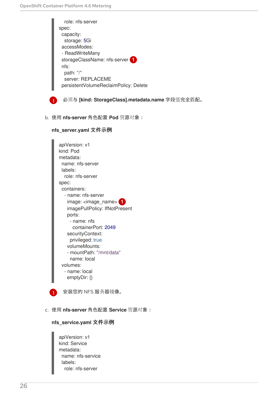<span id="page-29-0"></span>

| role: nfs-server                      |
|---------------------------------------|
| spec:                                 |
| capacity:                             |
| storage: 5Gi                          |
| accessModes:                          |
| - ReadWriteMany                       |
| storageClassName: nfs-server 1        |
| nfs·                                  |
| path: "/"                             |
| server: REPLACEME                     |
| persistentVolumeReclaimPolicy: Delete |
|                                       |

[1](#page-29-0)

必须与 **[kind: StorageClass].metadata.name** 字段值完全匹配。

b. 使用 **nfs-server** 角色配置 **Pod** 资源对象:

<span id="page-29-1"></span>

| apiVersion: v1                     |
|------------------------------------|
| kind: Pod                          |
| metadata:                          |
| name: nfs-server                   |
| labels:                            |
| role: nfs-server                   |
| spec:                              |
| containers:                        |
| - name: nfs-server                 |
| image: <image_name> 1</image_name> |
| imagePullPolicy: IfNotPresent      |
| ports:                             |
| - name: nfs                        |
| containerPort: 2049                |
| securityContext:                   |
| privileged: true                   |
| volumeMounts:                      |
| - mountPath: "/mnt/data"           |
| name: local                        |
| volumes:                           |
| - name: local                      |
| emptyDir: {}                       |
|                                    |

### **nfs\_server.yaml** 文件示例

- 安装您的 NFS 服务器镜像。
- c. 使用 **nfs-server** 角色配置 **Service** 资源对象:

# **nfs\_service.yaml** 文件示例

[1](#page-29-1)

apiVersion: v1 kind: Service metadata: name: nfs-service labels: role: nfs-server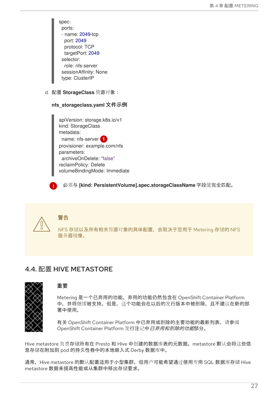spec: ports: - name: 2049-tcp port: 2049 protocol: TCP targetPort: 2049 selector: role: nfs-server sessionAffinity: None type: ClusterIP

d. 配置 **StorageClass** 资源对象:

### **nfs\_storageclass.yaml** 文件示例

<span id="page-30-1"></span>apiVersion: storage.k8s.io/v1 kind: StorageClass metadata: name: nfs-server **1** provisioner: example.com/nfs parameters: archiveOnDelete: "false" reclaimPolicy: Delete volumeBindingMode: Immediate

[1](#page-30-1)

必须与 **[kind: PersistentVolume].spec.storageClassName** 字段值完全匹配。

# 警告

NFS 存储以及所有相关资源对象的具体配置,会取决于您用于 Metering 存储的 NFS 服务器镜像。

# <span id="page-30-0"></span>4.4. 配置 HIVE METASTORE



### 重要

Metering 是一个已弃用的功能。弃用的功能仍然包含在 OpenShift Container Platform 中,并将继续被支持。但是,这个功能会在以后的发行版本中被删除,且不建议在新的部 署中使用。

有关 OpenShift Container Platform 中已弃用或删除的主要功能的最新列表,请参阅 OpenShift Container Platform 发行注记中*已弃用和删除的功能*部分。

Hive metastore 负责存储所有在 Presto 和 Hive 中创建的数据库表的元数据。metastore 默认会将这些信 息存储在附加到 pod 的持久性卷中的本地嵌入式 Derby 数据库中。

通常,Hive metastore 的默认配置适用于小型集群,但用户可能希望通过使用专用 SQL 数据库存储 Hive metastore 数据来提高性能或从集群中移出存储要求。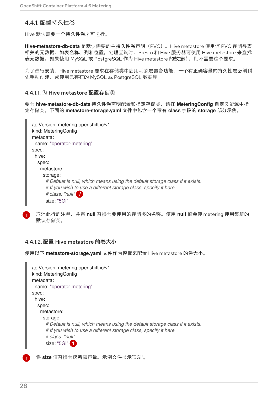### <span id="page-31-0"></span>4.4.1. 配置持久性卷

Hive 默认需要一个持久性卷才可运行。

**Hive-metastore-db-data** 是默认需要的主持久性卷声明(PVC)。Hive metastore 使用该 PVC 存储与表 相关的元数据,如表名称、列和位置。处理查询时,Presto 和 Hive 服务器可使用 Hive metastore 来查找 表元数据。如果使用 MySQL 或 PostgreSQL 作为 Hive metastore 的数据库, 则不需要这个要求。

为了进行安装,Hive metastore 要求在存储类中启用动态卷置备功能,一个有正确容量的持久性卷必须预 先手动创建,或使用已存在的 MySQL 或 PostgreSQL 数据库。

<span id="page-31-1"></span>4.4.1.1. 为 Hive metastore 配置存储类

要为 **hive-metastore-db-data** 持久性卷声明配置和指定存储类,请在 **MeteringConfig** 自定义资源中指 定存储类。下面的 **metastore-storage.yaml** 文件中包含一个带有 **class** 字段的 **storage** 部分示例。

```
apiVersion: metering.openshift.io/v1
kind: MeteringConfig
metadata:
 name: "operator-metering"
spec:
 hive:
  spec:
   metastore:
     storage:
      # Default is null, which means using the default storage class if it exists.
      # If you wish to use a different storage class, specify it here
      # class: "null" 1
      size: "5Gi"
```
<span id="page-31-3"></span>取消此行的注释,并将 **null** 替换为要使用的存储类的名称。使用 **null** 值会使 metering 使用集群的 默认存储类。

#### <span id="page-31-2"></span>4.4.1.2. 配置 Hive metastore 的卷大小

使用以下 **metastore-storage.yaml** 文件作为模板来配置 Hive metastore 的卷大小。

```
apiVersion: metering.openshift.io/v1
kind: MeteringConfig
metadata:
 name: "operator-metering"
spec:
hive:
  spec:
   metastore:
     storage:
      # Default is null, which means using the default storage class if it exists.
      # If you wish to use a different storage class, specify it here
      # class: "null"
      size: "5Gi" 1
```
<span id="page-31-4"></span>将 **size** 值替换为您所需容量。示例文件显示"5Gi"。

[1](#page-31-4)

[1](#page-31-3)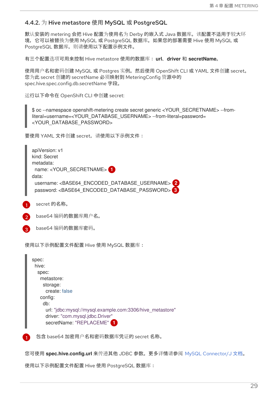## <span id="page-32-0"></span>4.4.2. 为 Hive metastore 使用 MySQL 或 PostgreSQL

默认安装的 metering 会把 Hive 配置为使用名为 Derby 的嵌入式 Java 数据库。该配置不适用于较大环 境,它可以被替换为使用 MySQL 或 PostgreSQL 数据库。如果您的部署需要 Hive 使用 MySQL 或 PostgreSQL 数据库, 则请使用以下配置示例文件。

有三个配置选项可用来控制 Hive metastore 使用的数据库: **url**、**driver** 和 **secretName**。

使用用户名和密码创建 MySQL 或 Postgres 实例。然后使用 OpenShift CLI 或 YAML 文件创建 secret。 您为此 secret 创建的 secretName 必须映射到 MeteringConfig 资源中的 spec.hive.spec.config.db.secretName 字段。

运行以下命令在 OpenShift CLI 中创建 secret:

\$ oc --namespace openshift-metering create secret generic <YOUR\_SECRETNAME> --fromliteral=username=<YOUR\_DATABASE\_USERNAME> --from-literal=password= <YOUR\_DATABASE\_PASSWORD>

要使用 YAML 文件创建 secret. 请使用以下示例文件:

<span id="page-32-1"></span>

| apiVersion: v1                                                                    |
|-----------------------------------------------------------------------------------|
| kind: Secret                                                                      |
| metadata:                                                                         |
| name: <your_secretname></your_secretname>                                         |
| data:                                                                             |
| username: <base64_encoded_database_username> 2</base64_encoded_database_username> |
| password: <base64_encoded_database_password> 3</base64_encoded_database_password> |
|                                                                                   |

<span id="page-32-3"></span><span id="page-32-2"></span>[1](#page-32-1) secret 的名称。

[1](#page-32-4)



[3](#page-32-3) base64 编码的数据库密码。

使用以下示例配置文件配置 Hive 使用 MySQL 数据库:

| spec: |                                                                                                                         |
|-------|-------------------------------------------------------------------------------------------------------------------------|
| hive: |                                                                                                                         |
|       | spec:                                                                                                                   |
|       | metastore:                                                                                                              |
|       | storage:                                                                                                                |
|       | create: false                                                                                                           |
|       | config:                                                                                                                 |
|       | db:                                                                                                                     |
|       | url: "jdbc:mysql://mysql.example.com:3306/hive metastore"<br>driver: "com.mysql.jdbc.Driver"<br>secretName: "REPLACEME" |
|       |                                                                                                                         |

<span id="page-32-4"></span>包含 base64 加密用户名和密码数据库凭证的 secret 名称。

您可使用 **spec.hive.config.url** 来传递其他 JDBC 参数。更多详情请参阅 MySQL [Connector/J](https://dev.mysql.com/doc/connector-j/5.1/en/connector-j-reference-configuration-properties.html) 文档。

使用以下示例配置文件配置 Hive 使用 PostgreSQL 数据库: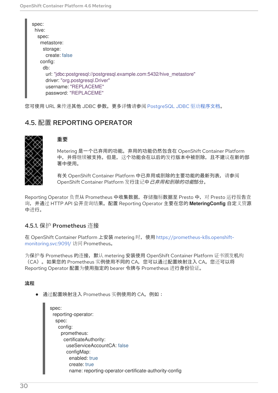| spec:                                                               |
|---------------------------------------------------------------------|
| hive:                                                               |
| spec:                                                               |
| metastore:                                                          |
| storage:                                                            |
| create: false                                                       |
| config:                                                             |
| db:                                                                 |
| url: "jdbc:postgresql://postgresql.example.com:5432/hive_metastore" |
| driver: "org.postgresql.Driver"                                     |
| username: "REPLACEME"                                               |
| password: "REPLACEME"                                               |
|                                                                     |

您可使用 URL 来传递其他 JDBC 参数。更多详情请参阅 [PostgreSQL](https://jdbc.postgresql.org/documentation/head/connect.html#connection-parameters) JDBC 驱动程序文档。

# <span id="page-33-0"></span>4.5. 配置 REPORTING OPERATOR



# 重要

Metering 是一个已弃用的功能。弃用的功能仍然包含在 OpenShift Container Platform 中,并将继续被支持。但是,这个功能会在以后的发行版本中被删除,且不建议在新的部 署中使用。

有关 OpenShift Container Platform 中已弃用或删除的主要功能的最新列表,请参阅 OpenShift Container Platform 发行注记中*已弃用和删除的功能*部分。

Reporting Operator 负责从 Prometheus 中收集数据,存储指标数据至 Presto 中,对 Presto 运行报告查 询,并通过 HTTP API 公开查询结果。配置 Reporting Operator 主要在您的 **MeteringConfig** 自定义资源 中进行。

### <span id="page-33-1"></span>4.5.1. 保护 Prometheus 连接

在 OpenShift Container Platform 上安装 metering 时, 使用 [https://prometheus-k8s.openshift](https://prometheus-k8s.openshift-monitoring.svc:9091/)monitoring.svc:9091/ 访问 Prometheus。

为保护与 Prometheus 的连接, 默认 metering 安装使用 OpenShift Container Platform 证书颁发机构 (CA)。如果您的 Prometheus 实例使用不同的 CA,您可以通过配置映射注入 CA。您还可以将 Reporting Operator 配置为使用指定的 bearer 令牌与 Prometheus 进行身份验证。

### 流程

通过配置映射注入 Prometheus 实例使用的 CA。例如:

```
spec:
 reporting-operator:
  spec:
   config:
    prometheus:
      certificateAuthority:
       useServiceAccountCA: false
       configMap:
        enabled: true
        create: true
        name: reporting-operator-certificate-authority-config
```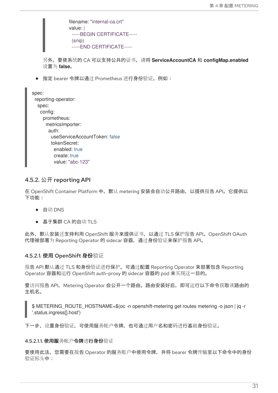```
filename: "internal-ca.crt"
value: |
 -----BEGIN CERTIFICATE-----
 (snip)
 -----END CERTIFICATE-----
```
另外,要使系统的 CA 可以支持公共的证书,请将 **ServiceAccountCA** 和 **configMap.enabled** 设置为 **false**。

指定 bearer 令牌以通过 Prometheus 进行身份验证。例如:

```
spec:
 reporting-operator:
  spec:
   config:
    prometheus:
      metricsImporter:
       auth:
        useServiceAccountToken: false
        tokenSecret:
         enabled: true
          create: true
          value: "abc-123"
```
### <span id="page-34-0"></span>4.5.2. 公开 reporting API

在 OpenShift Container Platform 中, 默认 metering 安装会自动公开路由, 以提供报告 API。它提供以 下功能:

- 自动 DNS
- 基于集群 CA 的自动 TLS

此外,默认安装还支持利用 OpenShift 服务来提供证书, 以通过 TLS 保护报告 API。OpenShift OAuth 代理被部署为 Reporting Operator 的 sidecar 容器,通过身份验证来保护报告 API。

### <span id="page-34-1"></span>4.5.2.1. 使用 OpenShift 身份验证

报告 API 默认通过 TLS 和身份验证进行保护。可通过配置 Reporting Operator 来部署包含 Reporting Operator 容器和运行 OpenShift auth-proxy 的 sidecar 容器的 pod 来实现这一目的。

要访问报告 API, Metering Operator 会公开一个路由。路由安装好后,即可运行以下命令获取该路由的 主机名。

\$ METERING\_ROUTE\_HOSTNAME=\$(oc -n openshift-metering get routes metering -o json | jq -r '.status.ingress[].host')

下一步,设置身份验证,可使用服务帐户令牌,也可通过用户名和密码进行基础身份验证。

<span id="page-34-2"></span>4.5.2.1.1. 使用服务帐户令牌进行身份验证

要使用此法,您需要在报告 Operator 的服务账户中使用令牌,并将 bearer 令牌传输至以下命令中的身份 验证标头中: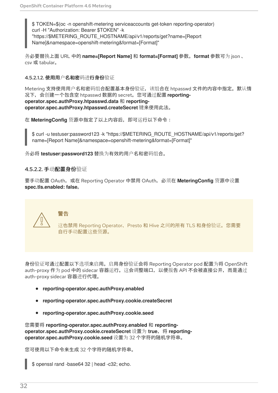\$ TOKEN=\$(oc -n openshift-metering serviceaccounts get-token reporting-operator) curl -H "Authorization: Bearer \$TOKEN" -k "https://\$METERING\_ROUTE\_HOSTNAME/api/v1/reports/get?name=[Report Name]&namespace=openshift-metering&format=[Format]"

务必要替换上面 URL 中的 **name=[Report Name]** 和 **format=[Format]** 参数。**format** 参数可为 json 、 csv 或 tabular。

<span id="page-35-0"></span>4.5.2.1.2. 使用用户名和密码进行身份验证

Metering 支持使用用户名和密码组合配置基本身份验证,该组合在 htpasswd 文件的内容中指定。默认情 况下,会创建一个包含空 htpasswd 数据的 secret。您可通过配置 **reportingoperator.spec.authProxy.htpasswd.data** 和 **reportingoperator.spec.authProxy.htpasswd.createSecret** 键来使用此法。

在 **MeteringConfig** 资源中指定了以上内容后,即可运行以下命令:

\$ curl -u testuser:password123 -k "https://\$METERING\_ROUTE\_HOSTNAME/api/v1/reports/get? name=[Report Name]&namespace=openshift-metering&format=[Format]"

务必将 **testuser:password123** 替换为有效的用户名和密码组合。

### <span id="page-35-1"></span>4.5.2.2. 手动配置身份验证

要手动配置 OAuth,或在 Reporting Operator 中禁用 OAuth, 必须在 MeteringConfig 资源中设置 **spec.tls.enabled: false**。



警告

这也禁用 Reporting Operator、Presto 和 Hive 之间的所有 TLS 和身份验证。您需要 自行手动配置这些资源。

身份验证可通过配置以下选项来启用。启用身份验证会将 Reporting Operator pod 配置为将 OpenShift auth-proxy 作为 pod 中的 sidecar 容器运行。这会调整端口, 以便报告 API 不会被直接公开, 而是通过 auth-proxy sidecar 容器进行代理。

- **reporting-operator.spec.authProxy.enabled**
- **reporting-operator.spec.authProxy.cookie.createSecret**
- **reporting-operator.spec.authProxy.cookie.seed**

您需要将 **reporting-operator.spec.authProxy.enabled** 和 **reportingoperator.spec.authProxy.cookie.createSecret** 设置为 **true**,将 **reportingoperator.spec.authProxy.cookie.seed** 设置为 32 个字符的随机字符串。

您可使用以下命令来生成 32 个字符的随机字符串。

\$ openssl rand -base64 32 | head -c32; echo.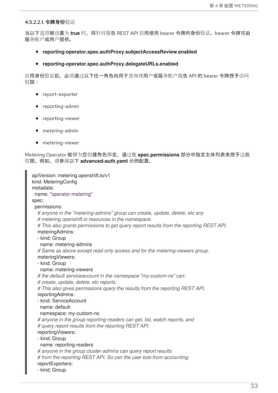#### <span id="page-36-0"></span>4.5.2.2.1. 令牌身份验证

当以下选项被设置为 **true** 时,将针对报告 REST API 启用使用 bearer 令牌的身份验证。bearer 令牌可由 服务帐户或用户提供。

- **reporting-operator.spec.authProxy.subjectAccessReview.enabled**
- **reporting-operator.spec.authProxy.delegateURLs.enabled**

启用身份验证后,必须通过以下任一角色向用于查询该用户或服务帐户报告 API 的 bearer 令牌授予访问 权限:

- report-exporter
- reporting-admin
- reporting-viewer
- metering-admin
- metering-viewer

Metering Operator 能够为您创建角色绑定,通过在 **spec.permissions** 部分中指定主体列表来授予这些 权限。例如,请参阅以下 **advanced-auth.yaml** 示例配置。

apiVersion: metering.openshift.io/v1 kind: MeteringConfig metadata: name: "operator-metering" spec: permissions: *# anyone in the "metering-admins" group can create, update, delete, etc any # metering.openshift.io resources in the namespace. # This also grants permissions to get query report results from the reporting REST API.* meteringAdmins: - kind: Group name: metering-admins *# Same as above except read only access and for the metering-viewers group.* meteringViewers: - kind: Group name: metering-viewers *# the default serviceaccount in the namespace "my-custom-ns" can: # create, update, delete, etc reports. # This also gives permissions query the results from the reporting REST API.* reportingAdmins: - kind: ServiceAccount name: default namespace: my-custom-ns *# anyone in the group reporting-readers can get, list, watch reports, and # query report results from the reporting REST API.* reportingViewers: - kind: Group name: reporting-readers *# anyone in the group cluster-admins can query report results # from the reporting REST API. So can the user bob-from-accounting.* reportExporters: - kind: Group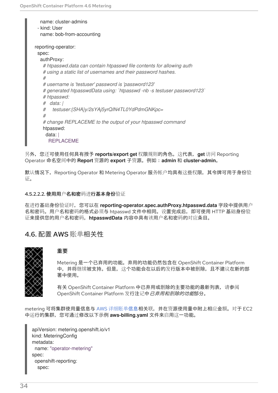```
name: cluster-admins
 - kind: User
  name: bob-from-accounting
reporting-operator:
 spec:
  authProxy:
   # htpasswd.data can contain htpasswd file contents for allowing auth
   # using a static list of usernames and their password hashes.
   #
   # username is 'testuser' password is 'password123'
   # generated htpasswdData using: `htpasswd -nb -s testuser password123`
   # htpasswd:
   # data: |
   # testuser:{SHA}y/2sYAj5yrQIN4TL0YdPdmGNKpc=
   #
   # change REPLACEME to the output of your htpasswd command
   htpasswd:
    data: |
     REPLACEME
```
另外,您还可使用任何具有授予 **reports/export get** 权限规则的角色。这代表,**get** 访问 Reporting Operator 命名空间中的 **Report** 资源的 **export** 子资源。例如:**admin** 和 **cluster-admin**。

默认情况下,Reporting Operator 和 Metering Operator 服务帐户均具有这些权限,其令牌可用于身份验 证。

### <span id="page-37-0"></span>4.5.2.2.2. 使用用户名和密码进行基本身份验证

在进行基础身份验证时,您可以在 **reporting-operator.spec.authProxy.htpasswd.data** 字段中提供用户 名和密码。用户名和密码的格式必须与 htpasswd 文件中相同。设置完成后,即可使用 HTTP 基础身份验 证来提供您的用户名和密码,**htpasswdData** 内容中具有该用户名和密码的对应条目。

# <span id="page-37-1"></span>4.6. 配置 AWS 账单相关性



### 重要

Metering 是一个已弃用的功能。弃用的功能仍然包含在 OpenShift Container Platform 中,并将继续被支持。但是,这个功能会在以后的发行版本中被删除,且不建议在新的部 署中使用。

有关 OpenShift Container Platform 中已弃用或删除的主要功能的最新列表,请参阅 OpenShift Container Platform 发行注记中*已弃用和删除的功能*部分。

metering 可将集群使用量信息与 AWS [详细账单](https://docs.aws.amazon.com/awsaccountbilling/latest/aboutv2/billing-reports-costusage.html)信息相关联,并在资源使用量中附上相应金额。对于 EC2 中运行的集群,您可通过修改以下示例 **aws-billing.yaml** 文件来启用这一功能。

apiVersion: metering.openshift.io/v1 kind: MeteringConfig metadata: name: "operator-metering" spec: openshift-reporting: spec: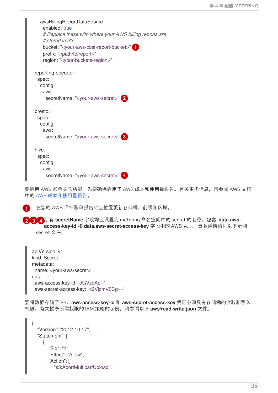<span id="page-38-1"></span><span id="page-38-0"></span>

| awsBillingReportDataSource:<br>enabled: true<br># Replace these with where your AWS billing reports are |
|---------------------------------------------------------------------------------------------------------|
| # stored in S3.                                                                                         |
| bucket: " <your-aws-cost-report-bucket>" [1]</your-aws-cost-report-bucket>                              |
| prefix: " <path report="" to="">"</path>                                                                |
| region: " <your-buckets-region>"</your-buckets-region>                                                  |
| reporting-operator:                                                                                     |
| spec:                                                                                                   |
| config:                                                                                                 |
| aws:                                                                                                    |
| secretName: " <your-aws-secret>" 2</your-aws-secret>                                                    |
| presto:                                                                                                 |
| spec:                                                                                                   |
| config:                                                                                                 |
| aws:                                                                                                    |
| secretName: " <your-aws-secret>" 3</your-aws-secret>                                                    |
| hive:                                                                                                   |
| spec:                                                                                                   |
| config:                                                                                                 |
| aws:                                                                                                    |
| secretName: " <your-aws-secret>" 4</your-aws-secret>                                                    |
|                                                                                                         |

<span id="page-38-2"></span>要启用 AWS 账单关联功能, 先要确保启用了 AWS 成本和使用量报告。有关更多信息, 请参阅 AWS 文档 中的 AWS [成本和使用量](https://docs.aws.amazon.com/awsaccountbilling/latest/aboutv2/billing-reports-gettingstarted-turnonreports.html)报告。

<span id="page-38-3"></span>在您的 AWS 详细账单报告对应位置更新存储桶、前缀和区域。

```
2 3 4
所有 secretName 字段均应设置为 metering 命名空间中的 secret 的名称,包含 data.aws-
     access-key-id 和 data.aws-secret-access-key 字段中的 AWS 凭证。更多详情请见以下示例
   secret 文件。
```

```
apiVersion: v1
kind: Secret
metadata:
name: <your-aws-secret>
data:
 aws-access-key-id: "dGVzdAo="
 aws-secret-access-key: "c2VjcmV0Cg=="
```
[1](#page-38-0)

要将数据存储至 S3,**aws-access-key-id** 和 **aws-secret-access-key** 凭证必须具有存储桶的读取和写入 权限。有关授予所需权限的 IAM 策略的示例,请参阅以下 **aws/read-write.json** 文件。

```
{
  "Version": "2012-10-17",
  "Statement": [
     {
       "Sid": "1",
       "Effect": "Allow",
       "Action": [
          "s3:AbortMultipartUpload",
```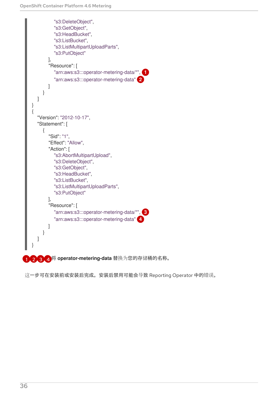```
1234 将 operator-metering-data 替换为您的存储桶的名称。
             "s3:DeleteObject",
             "s3:GetObject",
             "s3:HeadBucket",
             "s3:ListBucket",
             "s3:ListMultipartUploadParts",
             "s3:PutObject"
          ],
          "Resource": [
             "arn:aws:s3:::operator-metering-data/*", 1
             "arn:aws:s3:::operator-metering-data" 2
          ]
        }
     ]
   }
   {
     "Version": "2012-10-17",
     "Statement": [
       {
          "Sid": "1",
          "Effect": "Allow",
          "Action": [
             "s3:AbortMultipartUpload",
             "s3:DeleteObject",
             "s3:GetObject",
             "s3:HeadBucket",
             "s3:ListBucket",
             "s3:ListMultipartUploadParts",
             "s3:PutObject"
          ],
          "Resource": [
             "arn:aws:s3:::operator-metering-data/*", 3
             "arn:aws:s3:::operator-metering-data" 4
          ]
        }
     ]
   }
```
<span id="page-39-3"></span><span id="page-39-2"></span>这一步可在安装前或安装后完成。安装后禁用可能会导致 Reporting Operator 中的错误。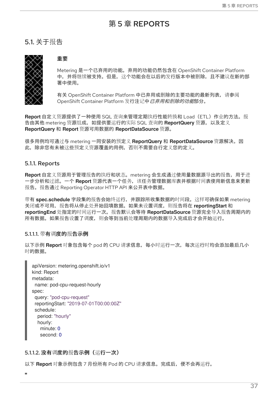# 第 5 章 REPORTS

# <span id="page-40-1"></span><span id="page-40-0"></span>5.1. 关于报告



#### 重要

Metering 是一个已弃用的功能。弃用的功能仍然包含在 OpenShift Container Platform 中,并将继续被支持。但是,这个功能会在以后的发行版本中被删除,且不建议在新的部 署中使用。

有关 OpenShift Container Platform 中已弃用或删除的主要功能的最新列表,请参阅 OpenShift Container Platform 发行注记中*已弃用和删除的功能*部分。

**Report** 自定义资源提供了一种使用 SQL 查询来管理定期执行性能转换和 Load(ETL)作业的方法。报 告由其他 metering 资源组成,如提供要运行的实际 SQL 查询的 **ReportQuery** 资源,以及定义 **ReportQuery** 和 **Report** 资源可用数据的 **ReportDataSource** 资源。

很多用例均可通过与 metering 一同安装的预定义 **ReportQuery** 和 **ReportDataSource** 资源解决。因 此,除非您有未被这些预定义资源覆盖的用例,否则不需要自行定义您的定义。

### <span id="page-40-2"></span>5.1.1. Reports

**Report** 自定义资源用于管理报告的执行和状态。metering 会生成通过使用量数据源导出的报告,用于进 一步分析和过滤。一个 Report 资源代表一个任务,该任务管理数据库表并根据时间表使用新信息来更新 报告。报告通过 Reporting Operator HTTP API 来公开表中数据。

带有 **spec.schedule** 字段集的报告会始终运行,并跟踪所收集数据的时间段。这样可确保如果 metering 关闭或不可用,报告将从停止处开始回填数据。如果未设置调度,则报告将在 **reportingStart** 和 **reportingEnd** 处指定的时间运行一次。报告默认会等待 **ReportDataSource** 资源完全导入报告周期内的 所有数据。如果报告设置了调度,则会等到当前处理周期内的数据导入完成后才会开始运行。

### <span id="page-40-3"></span>5.1.1.1. 带有调度的报告示例

以下示例 Report 对象包含每个 pod 的 CPU 请求信息,每小时运行一次,每次运行时均会添加最后几小 时的数据。

```
apiVersion: metering.openshift.io/v1
kind: Report
metadata:
 name: pod-cpu-request-hourly
spec:
 query: "pod-cpu-request"
 reportingStart: "2019-07-01T00:00:00Z"
 schedule:
  period: "hourly"
  hourly:
   minute: 0
   second: 0
```
#### <span id="page-40-4"></span>5.1.1.2. 没有调度的报告示例(运行一次)

以下 **Report** 对象示例包含 7 月份所有 Pod 的 CPU 请求信息。完成后,便不会再运行。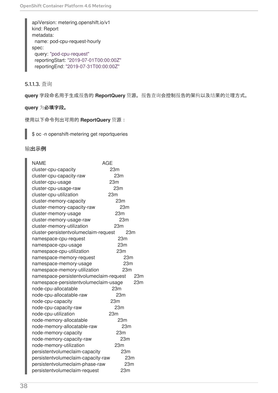```
apiVersion: metering.openshift.io/v1
kind: Report
metadata:
 name: pod-cpu-request-hourly
spec:
 query: "pod-cpu-request"
 reportingStart: "2019-07-01T00:00:00Z"
 reportingEnd: "2019-07-31T00:00:00Z"
```
<span id="page-41-0"></span>5.1.1.3. 查询

**query** 字段命名用于生成报告的 **ReportQuery** 资源。报告查询会控制报告的架构以及结果的处理方式。

### **query** 为必填字段。

使用以下命令列出可用的 **ReportQuery** 资源:

\$ oc -n openshift-metering get reportqueries

### 输出示例

| <b>NAME</b>                                                      | <b>AGE</b>             |                 |
|------------------------------------------------------------------|------------------------|-----------------|
| cluster-cpu-capacity                                             | 23m                    |                 |
| cluster-cpu-capacity-raw                                         | 23 <sub>m</sub>        |                 |
| cluster-cpu-usage                                                | 23m                    |                 |
| cluster-cpu-usage-raw                                            | 23 <sub>m</sub>        |                 |
| cluster-cpu-utilization                                          | 23m                    |                 |
| cluster-memory-capacity                                          | 23 <sub>m</sub>        |                 |
| cluster-memory-capacity-raw                                      | 23 <sub>m</sub>        |                 |
| cluster-memory-usage                                             | 23 <sub>m</sub>        |                 |
| cluster-memory-usage-raw                                         | 23 <sub>m</sub>        |                 |
| cluster-memory-utilization                                       | 23 <sub>m</sub>        |                 |
| cluster-persistentvolumeclaim-request                            | 23 <sub>m</sub>        |                 |
| namespace-cpu-request                                            | 23m                    |                 |
| namespace-cpu-usage                                              | 23 <sub>m</sub>        |                 |
| namespace-cpu-utilization                                        | 23m                    |                 |
| namespace-memory-request                                         | 23m                    |                 |
| namespace-memory-usage                                           | 23 <sub>m</sub>        |                 |
| namespace-memory-utilization                                     | 23m                    |                 |
| namespace-persistentvolumeclaim-request                          |                        | 23 <sub>m</sub> |
| namespace-persistentvolumeclaim-usage                            |                        | 23m             |
| node-cpu-allocatable                                             | 23m                    |                 |
| node-cpu-allocatable-raw                                         | 23m                    |                 |
|                                                                  |                        |                 |
| node-cpu-capacity                                                | 23m                    |                 |
| node-cpu-capacity-raw                                            | 23 <sub>m</sub>        |                 |
| node-cpu-utilization                                             | 23 <sub>m</sub>        |                 |
| node-memory-allocatable                                          | 23 <sub>m</sub>        |                 |
| node-memory-allocatable-raw                                      | 23m                    |                 |
| node-memory-capacity                                             | 23 <sub>m</sub>        |                 |
| node-memory-capacity-raw                                         | 23 <sub>m</sub>        |                 |
| node-memory-utilization                                          | 23m                    |                 |
| persistentvolumeclaim-capacity                                   | 23 <sub>m</sub>        |                 |
| persistentvolumeclaim-capacity-raw                               | 23 <sub>m</sub>        |                 |
| persistentvolumeclaim-phase-raw<br>persistentvolumeclaim-request | 23 <sub>m</sub><br>23m |                 |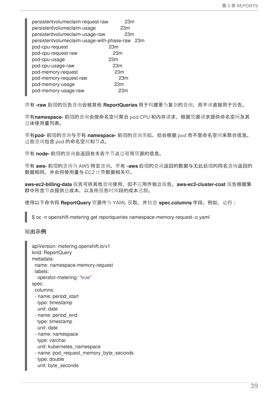persistentvolumeclaim-request-raw 23m persistentvolumeclaim-usage 23m persistentvolumeclaim-usage-raw 23m persistentvolumeclaim-usage-with-phase-raw 23m pod-cpu-request 23m pod-cpu-request-raw 23m pod-cpu-usage 23m pod-cpu-usage-raw 23m pod-memory-request 23m pod-memory-request-raw 23m pod-memory-usage 23m pod-memory-usage-raw 23m

带有 **-raw** 后缀的报告查询会被其他 **ReportQueries** 用于构建更为复杂的查询,而不该直接用于报告。

带有**namespace-** 前缀的查询会按命名空间聚合 pod CPU 和内存请求,根据资源请求提供命名空间及其 总体使用量列表。

带有**pod-** 前缀的查询与带有 **namespace-** 前缀的查询类似,但会根据 pod 而不是命名空间来聚合信息。 这些查询包含 pod 的命名空间和节点。

带有 **node-** 前缀的查询会返回有关各个节点总可用资源的信息。

带有 **aws-** 前缀的查询为 AWS 特定查询。带有 **-aws** 后缀的查询返回的数据与无此后缀的同名查询返回的 数据相同,并会将使用量与 EC2 计费数据相关联。

**aws-ec2-billing-data** 报告可供其他查询使用,但不应用作独立报告。**aws-ec2-cluster-cost** 报告根据集 群中所含节点提供总成本,以及所报告时间段的成本总额。

使用以下命令将 **ReportQuerv** 资源作为 YAML 获取, 并检查 spec.columns 字段。例如, 运行:

\$ oc -n openshift-metering get reportqueries namespace-memory-request -o yaml

输出示例

```
apiVersion: metering.openshift.io/v1
kind: ReportQuery
metadata:
 name: namespace-memory-request
 labels:
  operator-metering: "true"
spec:
 columns:
 - name: period_start
  type: timestamp
  unit: date
 - name: period_end
  type: timestamp
  unit: date
 - name: namespace
  type: varchar
  unit: kubernetes_namespace
 - name: pod_request_memory_byte_seconds
  type: double
  unit: byte_seconds
```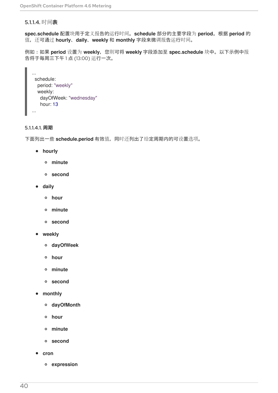### <span id="page-43-0"></span>5.1.1.4. 时间表

**spec.schedule** 配置块用于定义报告的运行时间。**schedule** 部分的主要字段为 **period**。根据 **period** 的 值,还可通过 **hourly**、**daily**、**weekly** 和 **monthly** 字段来微调报告运行时间。

例如:如果 **period** 设置为 **weekly**,您则可将 **weekly** 字段添加至 **spec.schedule** 块中。以下示例中报 告将于每周三下午 1 点 (13:00) 运行一次。

```
...
schedule:
  period: "weekly"
  weekly:
   dayOfWeek: "wednesday"
   hour: 13
...
```
#### <span id="page-43-1"></span>5.1.1.4.1. 周期

下面列出一些 schedule.period 有效值,同时还列出了给定周期内的可设置选项。

- **hourly**
	- **minute**
	- **second**
- **daily**
	- **hour**
	- **minute**
	- **second**
- **weekly**  $\bullet$ 
	- **dayOfWeek**
	- **hour**
	- **minute**
	- **second**
- **monthly**
	- **dayOfMonth**
	- **hour**
	- **minute**
	- **second**
- **cron**  $\bullet$ 
	- **expression**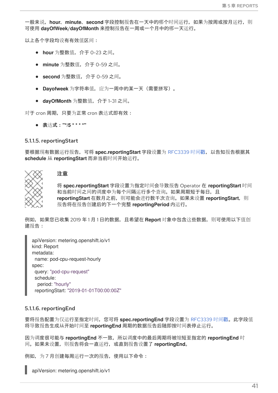一般来说,**hour**、**minute**、**second** 字段控制报告在一天中的哪个时间运行,如果为按周或按月运行,则 可使用 **dayOfWeek**/**dayOfMonth** 来控制报告在一周或一个月中的哪一天运行。

以上各个字段均设有有效值区间:

- hour 为整数值,介于 0-23 之间。
- **minute** 为整数值,介于 0-59 之间。
- **second** 为整数值, 介于 0-59 之间。
- **Dayofweek** 为字符串值, 应为一周中的某一天 (需要拼写)。
- **dayOfMonth** 为整数值, 介于 1-31 之间。

对于 cron 周期, 只要为正常 cron 表达式即有效:

表达式:**"\*/5 \* \* \* \*"**

#### <span id="page-44-0"></span>5.1.1.5. reportingStart

要根据现有数据运行报告,可将 **spec.reportingStart** 字段设置为 [RFC3339](https://tools.ietf.org/html/rfc3339#section-5.8) 时间戳,以告知报告根据其 **schedule** 从 **reportingStart** 而非当前时间开始运行。



#### 注意

将 **spec.reportingStart** 字段设置为指定时间会导致报告 Operator 在 **reportingStart** 时间 和当前时间之间的调度中为每个间隔运行多个查询。如果周期短于每日,且 reportingStart 在数月之前, 则可能会进行数千次查询。如果未设置 reportingStart, 则 报告将在报告创建后的下一个完整 **reportingPeriod** 内运行。

例如,如果您已收集 2019 年 1 月 1 日的数据,且希望在 **Report** 对象中包含这些数据,则可使用以下值创 建报告:

apiVersion: metering.openshift.io/v1 kind: Report metadata: name: pod-cpu-request-hourly spec: query: "pod-cpu-request" schedule: period: "hourly" reportingStart: "2019-01-01T00:00:00Z"

#### <span id="page-44-1"></span>5.1.1.6. reportingEnd

要将报告配置为仅运行至指定时间,您可将 **spec.reportingEnd** 字段设置为 [RFC3339](https://tools.ietf.org/html/rfc3339#section-5.8) 时间戳。此字段值 将导致报告生成从开始时间至 **reportingEnd** 周期的数据报告后随即按时间表停止运行。

因为调度很可能与 **reportingEnd** 不一致,所以调度中的最后周期将被缩短至指定的 **reportingEnd** 时 间。如果未设置,则报告将会一直运行,或直到报告设置了 **reportingEnd**。

例如,为 7 月创建每周运行一次的报告, 使用以下命令:

apiVersion: metering.openshift.io/v1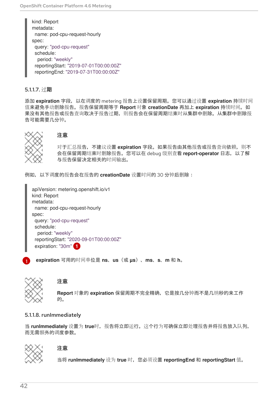kind: Report metadata: name: pod-cpu-request-hourly spec: query: "pod-cpu-request" schedule: period: "weekly" reportingStart: "2019-07-01T00:00:00Z" reportingEnd: "2019-07-31T00:00:00Z"

### <span id="page-45-0"></span>5.1.1.7. 过期

添加 **expiration** 字段,以在调度的 metering 报告上设置保留周期。您可以通过设置 **expiration** 持续时间 值来避免手动删除报告。报告保留周期等于 **Report** 对象 **creationDate** 再加上 **expiration** 持续时间。如 果没有其他报告或报告查询取决于报告过期,则报告会在保留周期结束时从集群中删除。从集群中删除报 告可能需要几分钟。



### 注意

对于汇总报告,不建议设置 **expiration** 字段。如果报告由其他报告或报告查询依赖,则不 会在保留周期结束时删除报告。您可以在 debug 级别查看 **report-operator** 日志,以了解 与报告保留决定相关的时间输出。

例如,以下调度的报告会在报告的 **creationDate** 设置时间的 30 分钟后删除:

```
apiVersion: metering.openshift.io/v1
kind: Report
metadata:
name: pod-cpu-request-hourly
spec:
query: "pod-cpu-request"
 schedule:
  period: "weekly"
 reportingStart: "2020-09-01T00:00:00Z"
 expiration: "30m" 1
```
**expiration** 可用的时间单位是 **ns**、**us**(或 **µs**)、**ms**、**s**、**m** 和 **h**。



[1](#page-45-2)

### <span id="page-45-2"></span>注意

**Report** 对象的 **expiration** 保留周期不完全精确,它是按几分钟而不是几纳秒的来工作 的。

### <span id="page-45-1"></span>5.1.1.8. runImmediately

当 **runImmediately** 设置为 **true**时,报告将立即运行。这个行为可确保立即处理报告并将报告放入队列, 而无需额外的调度参数。



### 注意

当将 **runImmediately** 设为 **true** 时,您必须设置 **reportingEnd** 和 **reportingStart** 值。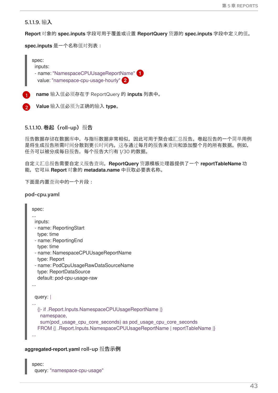<span id="page-46-0"></span>5.1.1.9. 输入

[1](#page-46-2)

**Report** 对象的 **spec.inputs** 字段可用于覆盖或设置 **ReportQuery** 资源的 **spec.inputs** 字段中定义的值。

**spec.inputs** 是一个名称值对列表:

<span id="page-46-2"></span>spec: inputs: - name: "NamespaceCPUUsageReportName" **1** value: "namespace-cpu-usage-hourly" **2**

<span id="page-46-3"></span>**name** 输入值必须存在于 ReportQuery 的 **inputs** 列表中。

[2](#page-46-3) **Value** 输入值必须为正确的输入 **type**。

### <span id="page-46-1"></span>5.1.1.10. 卷起 (roll-up) 报告

报告数据存储在数据库中,与指标数据非常相似,因此可用于聚合或汇总报告。卷起报告的一个简单用例 是将生成报告所需时间分散到更长时间内。这与通过每月的报告来查询和添加整个月的所有数据。例如, 任务可以被分成每日报告,每个报告大约有 1/30 的数据。

自定义汇总报告需要自定义报告查询。**ReportQuery** 资源模板处理器提供了一个 **reportTableName** 功 能,它可从 **Report** 对象的 **metadata.name** 中获取必要表名称。

下面是内置查询中的一个片段:

#### pod-cpu.yaml

spec:

... inputs:

- name: ReportingStart
- type: time
- name: ReportingEnd
- type: time
- name: NamespaceCPUUsageReportName type: Report
- name: PodCpuUsageRawDataSourceName type: ReportDataSource default: pod-cpu-usage-raw
- 

...

...

query: |

...

{|- if .Report.Inputs.NamespaceCPUUsageReportName |}

namespace,

sum(pod usage cpu core seconds) as pod usage cpu core seconds

FROM {| .Report.Inputs.NamespaceCPUUsageReportName | reportTableName |}

### **aggregated-report.yaml** roll-up 报告示例

spec: query: "namespace-cpu-usage"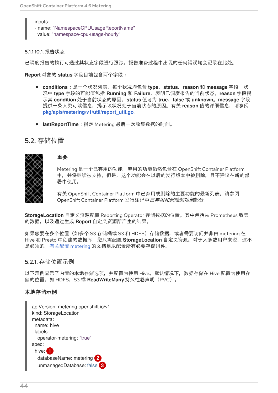inputs: - name: "NamespaceCPUUsageReportName" value: "namespace-cpu-usage-hourly"

<span id="page-47-0"></span>5.1.1.10.1. 报告状态

已调度报告的执行可通过其状态字段进行跟踪。报告准备过程中出现的任何错误均会记录在此处。

**Report** 对象的 **status** 字段目前包含两个字段:

- **conditions**:是一个状况列表,每个状况均包含 **type**、**status**、**reason** 和 **message** 字段。状 况中 **type** 字段的可能值包括 **Running** 和 **Failure**,表明已调度报告的当前状态。**reason** 字段揭 示其 **condition** 处于当前状态的原因,**status** 值可为 **true**、**false** 或 **unknown**。**message** 字段 提供一条人类可读信息,揭示该状况处于当前状态的原因。有关 **reason** 值的详细信息,请参阅 **[pkg/apis/metering/v1/util/report\\_util.go](https://github.com/operator-framework/operator-metering/blob/master/pkg/apis/metering/v1/util/report_util.go#L10)**。
- **lastReportTime**:指定 Metering 最后一次收集数据的时间。

# <span id="page-47-1"></span>5.2. 存储位置



### 重要

Metering 是一个已弃用的功能。弃用的功能仍然包含在 OpenShift Container Platform 中,并将继续被支持。但是,这个功能会在以后的发行版本中被删除,且不建议在新的部 署中使用。

有关 OpenShift Container Platform 中已弃用或删除的主要功能的最新列表,请参阅 OpenShift Container Platform 发行注记中*已弃用和删除的功能*部分。

**StorageLocation** 自定义资源配置 Reporting Operator 存储数据的位置。其中包括从 Prometheus 收集 的数据,以及通过生成 **Report** 自定义资源所产生的结果。

如果您要在多个位置 (如多个 S3 存储桶或 S3 和 HDFS) 存储数据, 或者需要访问并非由 metering 在 Hive 和 Presto 中创建的数据库,您只需配置 StorageLocation 自定义资源。对于大多数用户来说,这不 是必须的。有关配置 [metering](https://access.redhat.com/documentation/en-us/openshift_container_platform/4.6/html-single/metering/#metering-about-configuring) 的文档足以配置所有必要存储组件。

### <span id="page-47-2"></span>5.2.1. 存储位置示例

以下示例显示了内置的本地存储选项,并配置为使用 Hive。默认情况下,数据存储在 Hive 配置为使用存 储的位置,如 HDFS、S3 或 **ReadWriteMany** 持久性卷声明(PVC)。

### 本地存储示例

<span id="page-47-5"></span><span id="page-47-4"></span><span id="page-47-3"></span>

| apiVersion: metering.openshift.io/v1<br>kind: StorageLocation |
|---------------------------------------------------------------|
| metadata:                                                     |
| name: hive                                                    |
| labels:                                                       |
| operator-metering: "true"                                     |
| spec:                                                         |
| hive: $\bigcap$                                               |
| databaseName: metering 2                                      |
| unmanagedDatabase: false 3                                    |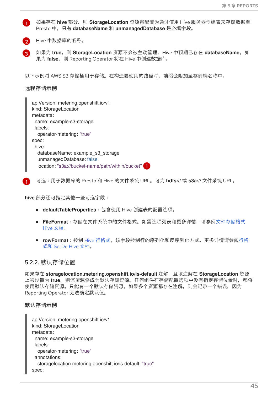[1](#page-47-3) 如果存在 **hive** 部分,则 StorageLocation 资源将配置为通过使用 Hive 服务器创建表来存储数据至 Presto 中。只有 **databaseName** 和 **unmanagedDatabase** 是必填字段。

[2](#page-47-4) Hive 中数据库的名称。

[3](#page-47-5) 如果为 **true**,则 **StorageLocation** 资源不会被主动管理,Hive 中预期已存在 **databaseName**。如 果为 **false**,则 Reporting Operator 将在 Hive 中创建数据库。

以下示例将 AWS S3 存储桶用于存储。在构造要使用的路径时,前缀会附加至存储桶名称中。

### 远程存储示例

[1](#page-48-1)

apiVersion: metering.openshift.io/v1 kind: StorageLocation metadata: name: example-s3-storage labels: operator-metering: "true" spec: hive: databaseName: example\_s3\_storage unmanagedDatabase: false location: "s3a://bucket-name/path/within/bucket" **1**

<span id="page-48-1"></span>可选:用于数据库的 Presto 和 Hive 的文件系统 URL。可为 **hdfs://** 或 **s3a://** 文件系统 URL。

**hive** 部分还可指定其他一些可选字段:

- **defaultTableProperties**:包含使用 Hive 创建表的配置选项。
- FileFormat:存储在文件系统[中的文件格式。如需](https://cwiki.apache.org/confluence/display/Hive/LanguageManual+DDL#LanguageManualDDL-StorageFormatsStorageFormatsRowFormat,StorageFormat,andSerDe)选项列表和更多详情,请参阅文件存储格式 Hive 文档。
- rowFormat: 控制 Hive [行格式](https://cwiki.apache.org/confluence/display/Hive/LanguageManual+DDL#LanguageManualDDL-RowFormats&SerDe)。该[字段控制行的序列化和反序列化方式。更多](https://cwiki.apache.org/confluence/display/Hive/LanguageManual+DDL#LanguageManualDDL-RowFormats&SerDe)详情请参阅行格 式和 SerDe Hive 文档。

### <span id="page-48-0"></span>5.2.2. 默认存储位置

如果存在 **storagelocation.metering.openshift.io/is-default** 注解,且该注解在 **StorageLocation** 资源 上被设置为 true, 则该资源将成为默认存储资源。任何组件在存储配置选项中没有指定存储位置时, 都将 使用默认存储资源。如果多个资源都存在注解,则会记录一个错误,因为 Reporting Operator 无法确定默认值。

### 默认存储示例

```
apiVersion: metering.openshift.io/v1
kind: StorageLocation
metadata:
 name: example-s3-storage
 labels:
  operator-metering: "true"
 annotations:
  storagelocation.metering.openshift.io/is-default: "true"
spec:
```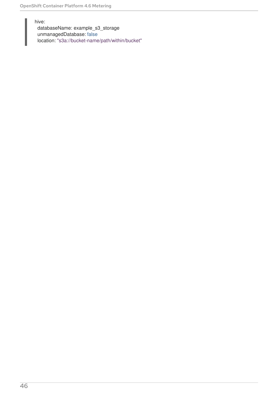hive:

databaseName: example\_s3\_storage unmanagedDatabase: false location: "s3a://bucket-name/path/within/bucket"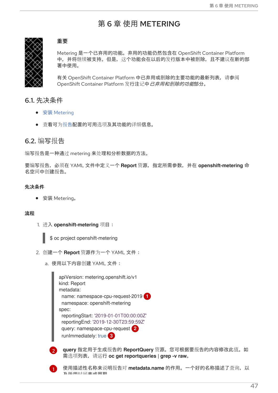# 第 6 章 使用 METERING

<span id="page-50-0"></span>

### 重要

Metering 是一个已弃用的功能。弃用的功能仍然包含在 OpenShift Container Platform 中,并将继续被支持。但是,这个功能会在以后的发行版本中被删除,且不建议在新的部 署中使用。

有关 OpenShift Container Platform 中已弃用或删除的主要功能的最新列表,请参阅 OpenShift Container Platform 发行注记中*已弃用和删除的功能*部分。

# <span id="page-50-1"></span>6.1. 先决条件

- 安装 [Metering](https://access.redhat.com/documentation/en-us/openshift_container_platform/4.6/html-single/metering/#metering-install-operator_installing-metering)
- 查看可为报[告配](https://access.redhat.com/documentation/en-us/openshift_container_platform/4.6/html-single/metering/#metering-about-reports)置的可用选项及其功能的详细信息。

# <span id="page-50-2"></span>6.2. 编写报告

编写报告是一种通过 metering 来处理和分析数据的方法。

要编写报告,必须在 YAML 文件中定义一个 **Report** 资源,指定所需参数,并在 **openshift-metering** 命 名空间中创建报告。

### 先决条件

● 安装 Metering。

### 流程

1. 进入 **openshift-metering** 项目:

\$ oc project openshift-metering

- 2. 创建一个 **Report** 资源作为一个 YAML 文件:
	- a. 使用以下内容创建 YAML 文件:

<span id="page-50-4"></span>

| apiVersion: metering.openshift.io/v1<br>kind: Report<br>metadata: |
|-------------------------------------------------------------------|
| name: namespace-cpu-request-2019 1                                |
| namespace: openshift-metering                                     |
| spec:                                                             |
| reportingStart: '2019-01-01T00:00:00Z'                            |
| reportingEnd: '2019-12-30T23:59:59Z'                              |
| query: namespace-cpu-request 2                                    |
| runImmediately: true <sup>3</sup>                                 |
|                                                                   |

<span id="page-50-5"></span><span id="page-50-3"></span>**query** 指定用于生成报告的 **ReportQuery** 资源。您可根据要报告的内容修改此值。如 需选项列表,请运行 **oc get reportqueries | grep -v raw**。

[1](#page-50-4)

[2](#page-50-3)

使用描述性名称来说明报告对 metadata.name 的作用。一个好的名称描述了查询, 以 及所用时间表或周期。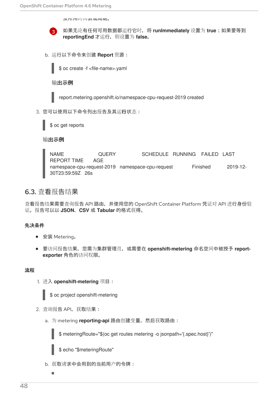及所用时间表或周期。



如果无论有任何可用数据都运行它时,将 **runImmediately** 设置为 **true**;如果要等到 **reportingEnd** 才运行,则设置为 **false**。

b. 运行以下命令来创建 **Report** 资源:



输出示例

report.metering.openshift.io/namespace-cpu-request-2019 created

3. 您可以使用以下命令列出报告及其运行状态:



输出示例

NAME QUERY SCHEDULE RUNNING FAILED LAST REPORT TIME AGE namespace-cpu-request-2019 namespace-cpu-request Finished 2019-12-30T23:59:59Z 26s

# <span id="page-51-0"></span>6.3. 查看报告结果

查看报告结果需要查询报告 API 路由,并使用您的 OpenShift Container Platform 凭证对 API 进行身份验 证。报告可以以 **JSON**、**CSV** 或 **Tabular** 的格式获得。

### 先决条件

- 安装 Metering。
- 要访问报告结果,您需为集群管理员,或需要在 **openshift-metering** 命名空间中被授予 **reportexporter** 角色的访问权限。

### 流程

1. 进入 **openshift-metering** 项目:



2. 查询报告 API,获取结果:

п

a. 为 metering **reporting-api** 路由创建变量, 然后获取路由:

\$ meteringRoute="\$(oc get routes metering -o jsonpath='{.spec.host}')"

\$ echo "\$meteringRoute"

b. 获取请求中会用到的当前用户的令牌: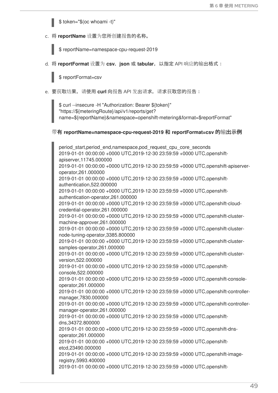\$ token="\$(oc whoami -t)"

c. 将 **reportName** 设置为您所创建报告的名称。

\$ reportName=namespace-cpu-request-2019

d. 将 **reportFormat** 设置为 **csv**、**json** 或 **tabular**,以指定 API 响应的输出格式:

\$ reportFormat=csv

e. 要获取结果,请使用 **curl** 向报告 API 发出请求,请求获取您的报告:

\$ curl --insecure -H "Authorization: Bearer \${token}" "https://\${meteringRoute}/api/v1/reports/get? name=\${reportName}&namespace=openshift-metering&format=\$reportFormat"

#### 带有 **reportName=namespace-cpu-request-2019** 和 **reportFormat=csv** 的输出示例

period\_start,period\_end,namespace,pod\_request\_cpu\_core\_seconds 2019-01-01 00:00:00 +0000 UTC,2019-12-30 23:59:59 +0000 UTC,openshiftapiserver,11745.000000 2019-01-01 00:00:00 +0000 UTC,2019-12-30 23:59:59 +0000 UTC,openshift-apiserveroperator,261.000000 2019-01-01 00:00:00 +0000 UTC,2019-12-30 23:59:59 +0000 UTC,openshiftauthentication,522.000000 2019-01-01 00:00:00 +0000 UTC,2019-12-30 23:59:59 +0000 UTC,openshiftauthentication-operator,261.000000 2019-01-01 00:00:00 +0000 UTC,2019-12-30 23:59:59 +0000 UTC,openshift-cloudcredential-operator,261.000000 2019-01-01 00:00:00 +0000 UTC,2019-12-30 23:59:59 +0000 UTC,openshift-clustermachine-approver,261.000000 2019-01-01 00:00:00 +0000 UTC,2019-12-30 23:59:59 +0000 UTC,openshift-clusternode-tuning-operator,3385.800000 2019-01-01 00:00:00 +0000 UTC,2019-12-30 23:59:59 +0000 UTC,openshift-clustersamples-operator,261.000000 2019-01-01 00:00:00 +0000 UTC,2019-12-30 23:59:59 +0000 UTC,openshift-clusterversion,522.000000 2019-01-01 00:00:00 +0000 UTC,2019-12-30 23:59:59 +0000 UTC,openshiftconsole,522.000000 2019-01-01 00:00:00 +0000 UTC,2019-12-30 23:59:59 +0000 UTC,openshift-consoleoperator,261.000000 2019-01-01 00:00:00 +0000 UTC,2019-12-30 23:59:59 +0000 UTC,openshift-controllermanager,7830.000000 2019-01-01 00:00:00 +0000 UTC,2019-12-30 23:59:59 +0000 UTC,openshift-controllermanager-operator,261.000000 2019-01-01 00:00:00 +0000 UTC,2019-12-30 23:59:59 +0000 UTC,openshiftdns,34372.800000 2019-01-01 00:00:00 +0000 UTC,2019-12-30 23:59:59 +0000 UTC,openshift-dnsoperator,261.000000 2019-01-01 00:00:00 +0000 UTC,2019-12-30 23:59:59 +0000 UTC,openshiftetcd,23490.000000 2019-01-01 00:00:00 +0000 UTC,2019-12-30 23:59:59 +0000 UTC,openshift-imageregistry,5993.400000 2019-01-01 00:00:00 +0000 UTC,2019-12-30 23:59:59 +0000 UTC,openshift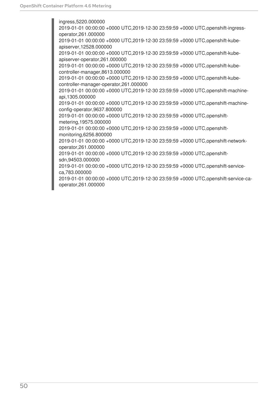ingress,5220.000000 2019-01-01 00:00:00 +0000 UTC,2019-12-30 23:59:59 +0000 UTC,openshift-ingressoperator,261.000000 2019-01-01 00:00:00 +0000 UTC,2019-12-30 23:59:59 +0000 UTC,openshift-kubeapiserver,12528.000000 2019-01-01 00:00:00 +0000 UTC,2019-12-30 23:59:59 +0000 UTC,openshift-kubeapiserver-operator,261.000000 2019-01-01 00:00:00 +0000 UTC,2019-12-30 23:59:59 +0000 UTC,openshift-kubecontroller-manager,8613.000000 2019-01-01 00:00:00 +0000 UTC,2019-12-30 23:59:59 +0000 UTC,openshift-kubecontroller-manager-operator,261.000000 2019-01-01 00:00:00 +0000 UTC,2019-12-30 23:59:59 +0000 UTC,openshift-machineapi,1305.000000 2019-01-01 00:00:00 +0000 UTC,2019-12-30 23:59:59 +0000 UTC,openshift-machineconfig-operator,9637.800000 2019-01-01 00:00:00 +0000 UTC,2019-12-30 23:59:59 +0000 UTC,openshiftmetering,19575.000000 2019-01-01 00:00:00 +0000 UTC,2019-12-30 23:59:59 +0000 UTC,openshiftmonitoring,6256.800000 2019-01-01 00:00:00 +0000 UTC,2019-12-30 23:59:59 +0000 UTC,openshift-networkoperator,261.000000 2019-01-01 00:00:00 +0000 UTC,2019-12-30 23:59:59 +0000 UTC,openshiftsdn,94503.000000 2019-01-01 00:00:00 +0000 UTC,2019-12-30 23:59:59 +0000 UTC,openshift-serviceca,783.000000 2019-01-01 00:00:00 +0000 UTC,2019-12-30 23:59:59 +0000 UTC,openshift-service-caoperator,261.000000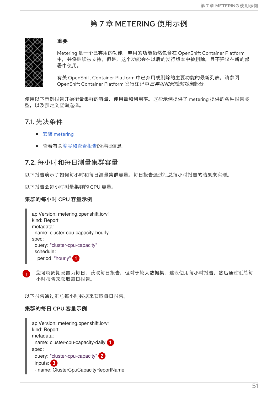# 第 7 章 METERING 使用示例

<span id="page-54-0"></span>

### 重要

Metering 是一个已弃用的功能。弃用的功能仍然包含在 OpenShift Container Platform 中,并将继续被支持。但是,这个功能会在以后的发行版本中被删除,且不建议在新的部 署中使用。

有关 OpenShift Container Platform 中已弃用或删除的主要功能的最新列表,请参阅 OpenShift Container Platform 发行注记中*已弃用和删除的功能*部分。

使用以下示例报告开始衡量集群的容量、使用量和利用率。这些示例提供了 metering 提供的各种报告类 型,以及预定义查询选择。

# <span id="page-54-1"></span>7.1. 先决条件

- 安装 [metering](https://access.redhat.com/documentation/en-us/openshift_container_platform/4.6/html-single/metering/#metering-install-operator_installing-metering)
- 杳看有关编[写和](../metering/metering-using-metering.xml#using-metering)杳看报告的详细信息。

# <span id="page-54-2"></span>7.2. 每小时和每日测量集群容量

以下报告演示了如何每小时和每日测量集群容量。每日报告通过汇总每小时报告的结果来实现。

以下报告会每小时测量集群的 CPU 容量。

### 集群的每小时 CPU 容量示例

| apiVersion: metering.openshift.io/v1 |
|--------------------------------------|
| kind: Report                         |
| metadata:                            |
| name: cluster-cpu-capacity-hourly    |
| spec:                                |
| query: "cluster-cpu-capacity"        |
| schedule:                            |
| period: "hourly" (1)                 |

<span id="page-54-3"></span>[1](#page-54-3) 您可将周期设置为每日,获取每日报告,但对于较大数据集,建议使用每小时报告,然后通过汇总每 小时报告来获取每日报告。

以下报告通过汇总每小时数据来获取每日报告。

### 集群的每日 CPU 容量示例

<span id="page-54-5"></span><span id="page-54-4"></span>apiVersion: metering.openshift.io/v1 kind: Report metadata: name: cluster-cpu-capacity-daily **1** spec: query: "cluster-cpu-capacity" **2** inputs: **3** - name: ClusterCpuCapacityReportName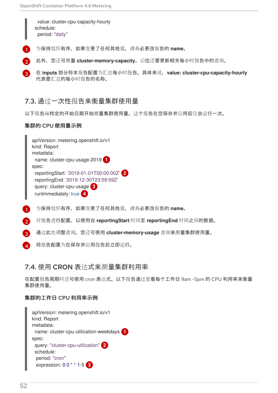<span id="page-55-2"></span>value: cluster-cpu-capacity-hourly schedule: period: "daily"

[1](#page-54-4) 为保持组织有序,如果变更了任何其他值,请务必更改报告的 **name**。

 $\mathcal{D}$ 此外,您还可测量 **cluster-memory-capacity**。记住还要更新相关每小时报告中的查询。

[3](#page-55-2) 在 **inputs** 部分将本报告配置为汇总每小时报告。具体来说,**value: cluster-cpu-capacity-hourly** 代表要汇总的每小时报告的名称。

# <span id="page-55-0"></span>7.3. 通过一次性报告来衡量集群使用量

以下报告从特定的开始日期开始测量集群使用量。这个报告在您保存并应用后仅会运行一次。

### 集群的 CPU 使用量示例

<span id="page-55-4"></span><span id="page-55-3"></span>

| apiVersion: metering.openshift.io/v1     |
|------------------------------------------|
| kind: Report                             |
| metadata:                                |
| name: cluster-cpu-usage-2019 1           |
| spec:                                    |
| reportingStart: '2019-01-01T00:00:00Z' 2 |
| reportingEnd: '2019-12-30T23:59:59Z'     |
| query: cluster-cpu-usage 3               |
| runImmediately: true 4                   |

- <span id="page-55-6"></span><span id="page-55-5"></span>[1](#page-55-3) 为保持组织有序,如果变更了任何其他值,请务必更改报告的 **name**。
- $\mathcal{P}$ 对报告进行配置,以使用自 **reportingStart** 时间至 **reportingEnd** 时间之间的数据。
- [3](#page-55-5) 通过此处调整查询。您还可使用 **cluster-memory-usage** 查询来测量集群使用量。
- [4](#page-55-6) 将报告配置为在保存并应用报告后立即运行。

# <span id="page-55-1"></span>7.4. 使用 CRON 表达式来测量集群利用率

在配置报告周期时还可使用 cron 表达式。以下报告通过查看每个工作日 9am -5pm 的 CPU 利用率来衡量 集群使用量。

### 集群的工作日 CPU 利用率示例

```
apiVersion: metering.openshift.io/v1
kind: Report
metadata:
 name: cluster-cpu-utilization-weekdays 1
spec:
 query: "cluster-cpu-utilization" 2
 schedule:
 period: "cron"
 expression: 0 0 * * 1-5 3
```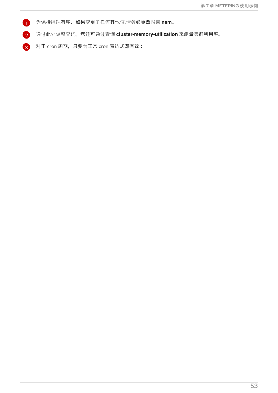- [1](#page-55-7) 为保持组织有序,如果变更了任何其他值,请务必更改报告 **nam**。
- [2](#page-55-8) 通过此处调整查询。您还可通过查询 **cluster-memory-utilization** 来测量集群利用率。
- <mark>[3](#page-55-9)</mark> 对于 cron 周期,只要为正常 cron 表达式即有效: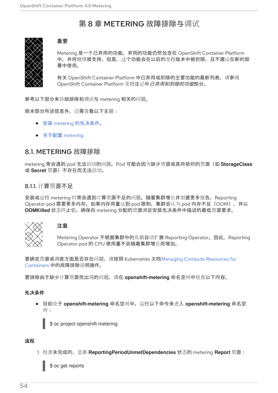# 第 8 章 METERING 故障排除与调试

<span id="page-57-0"></span>

### 重要

Metering 是一个已弃用的功能。弃用的功能仍然包含在 OpenShift Container Platform 中,并将继续被支持。但是,这个功能会在以后的发行版本中被删除,且不建议在新的部 署中使用。

有关 OpenShift Container Platform 中已弃用或删除的主要功能的最新列表,请参阅 OpenShift Container Platform 发行注记中*已弃用和删除的功能*部分。

参考以下部分来协助排除和调试与 metering 相关的问题。

除本部分所述信息外, 还需查看以下主题:

- 安装 metering [的先决条件](https://access.redhat.com/documentation/en-us/openshift_container_platform/4.6/html-single/metering/#metering-install-prerequisites_installing-metering)。
- 关于配置 [metering](https://access.redhat.com/documentation/en-us/openshift_container_platform/4.6/html-single/metering/#metering-about-configuring)

# <span id="page-57-1"></span>8.1. METERING 故障排除

metering 常会遇到 pod 无法启动的问题。Pod 可能会因为缺少资源或其所依赖的资源(如 **StorageClass** 或 Secret 资源)不存在而无法启动。

### <span id="page-57-2"></span>8.1.1. 计算资源不足

安装或运行 metering 时常会遇到计算资源不足的问题。随着集群增长并创建更多报告,Reporting Operator pod 需要更多内存。如果内存用量达到 pod 限制, 集群会认为 pod 内存不足 (OOM), 并以 **OOMKilled** 状态终止它。确保向 metering 分配的资源满足安装先决条件中描述的最低资源要求。



### 注意

Metering Operator 不根据集群中的负载自动扩展 Reporting Operator。因此,Reporting Operator pod 的 CPU 使用量不会随着集群增长而增加。

要确定资源或调[度方面是否存在](https://kubernetes.io/docs/concepts/configuration/manage-compute-resources-container/#troubleshooting)问题,请按照 Kubernetes 文档Managing Compute Resources for Containers 中的故障排除说明操作。

要排除由于缺少计算资源而出现的问题,请在 **openshift-metering** 命名空间中检查以下内容。

### 先决条件

目前处于 **openshift-metering** 命名空间中。运行以下命令来进入 **openshift-metering** 命名空 间:

\$ oc project openshift-metering

### 流程

1. 检查未完成的、显示 **ReportingPeriodUnmetDependencies** 状态的 metering **Report** 资源:

oc get reports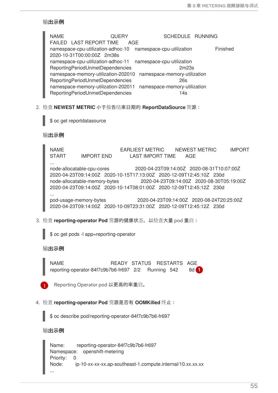### 输出示例

NAME QUERY SCHEDULE RUNNING FAILED LAST REPORT TIME AGE namespace-cpu-utilization-adhoc-10 namespace-cpu-utilization Finished 2020-10-31T00:00:00Z 2m38s namespace-cpu-utilization-adhoc-11 namespace-cpu-utilization ReportingPeriodUnmetDependencies 2m23s namespace-memory-utilization-202010 namespace-memory-utilization ReportingPeriodUnmetDependencies 26s namespace-memory-utilization-202011 namespace-memory-utilization ReportingPeriodUnmetDependencies 14s

2. 检查 **NEWEST METRIC** 小于报告结束日期的 **ReportDataSource** 资源:



### 输出示例

NAME EARLIEST METRIC NEWEST METRIC IMPORT START IMPORT END LAST IMPORT TIME AGE ... node-allocatable-cpu-cores 2020-04-23T09:14:00Z 2020-08-31T10:07:00Z 2020-04-23T09:14:00Z 2020-10-15T17:13:00Z 2020-12-09T12:45:10Z 230d node-allocatable-memory-bytes 2020-04-23T09:14:00Z 2020-08-30T05:19:00Z 2020-04-23T09:14:00Z 2020-10-14T08:01:00Z 2020-12-09T12:45:12Z 230d ...

pod-usage-memory-bytes 2020-04-23T09:14:00Z 2020-08-24T20:25:00Z 2020-04-23T09:14:00Z 2020-10-09T23:31:00Z 2020-12-09T12:45:12Z 230d

3. 检查 **reporting-operator Pod** 资源的健康状态,以检查大量 pod 重启:

\$ oc get pods -l app=reporting-operator

#### 输出示例

NAME READY STATUS RESTARTS AGE reporting-operator-84f7c9b7b6-fr697 2/2 Running 542 8d **1**



<span id="page-58-0"></span>Reporting Operator pod 以更高的率重启。

4. 检查 **reporting-operator Pod** 资源是否有 **OOMKilled** 终止:

\$ oc describe pod/reporting-operator-84f7c9b7b6-fr697

### 输出示例

```
Name: reporting-operator-84f7c9b7b6-fr697
Namespace: openshift-metering
Priority: 0
Node: ip-10-xx-xx-xx.ap-southeast-1.compute.internal/10.xx.xx.xx
...
```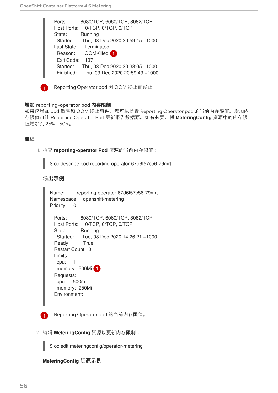<span id="page-59-1"></span>Ports: 8080/TCP, 6060/TCP, 8082/TCP Host Ports: 0/TCP, 0/TCP, 0/TCP State: Running Started: Thu, 03 Dec 2020 20:59:45 +1000 Last State: Terminated Reason: OOMKilled **1** Exit Code: 137 Started: Thu, 03 Dec 2020 20:38:05 +1000 Finished: Thu, 03 Dec 2020 20:59:43 +1000



Reporting Operator pod 因 OOM 终止而终止。

### <span id="page-59-0"></span>增加 reporting-operator pod 内存限制

如果您增加 pod 重启和 OOM 终止事件,您可以检查 Reporting Operator pod 的当前内存限值。增加内 存限值可让 Reporting Operator Pod 更新报告数据源。如有必要,将 **MeteringConfig** 资源中的内存限 值增加到 25% - 50%。

### 流程

1. 检查 **reporting-operator Pod** 资源的当前内存限值:

\$ oc describe pod reporting-operator-67d6f57c56-79mrt

### 输出示例



<span id="page-59-2"></span>Reporting Operator pod 的当前内存限值。

2. 编辑 **MeteringConfig** 资源以更新内存限制:

\$ oc edit meteringconfig/operator-metering

**MeteringConfig** 资源示例

[1](#page-59-2)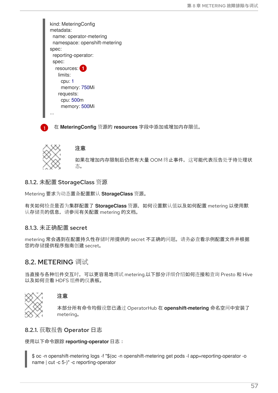<span id="page-60-4"></span>

| kind: MeteringConfig<br>metadata: |
|-----------------------------------|
| name: operator-metering           |
| namespace: openshift-metering     |
| spec:                             |
| reporting-operator:               |
| spec:                             |
| resources: 1                      |
| limits:                           |
| cpu: 1                            |
| memory: 750Mi                     |
| requests:                         |
| cpu: 500m                         |
| memory: 500Mi                     |
|                                   |
|                                   |

[1](#page-60-4) 在 **MeteringConfig** 资源的 **resources** 字段中添加或增加内存限值。



### 注意

如果在增加内存限制后仍然有大量 OOM 终止事件,这可能代表报告处于待处理状 态。

## <span id="page-60-0"></span>8.1.2. 未配置 StorageClass 资源

Metering 要求为动态置备配置默认 **StorageClass** 资源。

有关如何检查是否为集群配置了 **StorageClass** 资源、如何设置默认值以及如何配置 metering 以使用默 认存储类的信息,请参阅有关配置 metering 的文档。

# <span id="page-60-1"></span>8.1.3. 未正确配置 secret

metering 常会遇到在配置持久性存储时所提供的 secret 不正确的问题。请务必查看示例配置文件并根据 您的存储提供程序指南创建 secret。

# <span id="page-60-2"></span>8.2. METERING 调试

当直接与各种组件交互时,可以更容易地调试 metering.以下部分详细介绍如何连接和查询 Presto 和 Hive 以及如何查看 HDFS 组件的仪表板。



## 注意

本部分所有命令均假设您已通过 OperatorHub 在 **openshift-metering** 命名空间中安装了 metering。

## <span id="page-60-3"></span>8.2.1. 获取报告 Operator 日志

使用以下命令跟踪 **reporting-operator** 日志:

\$ oc -n openshift-metering logs -f "\$(oc -n openshift-metering get pods -l app=reporting-operator -o name | cut -c 5-)" -c reporting-operator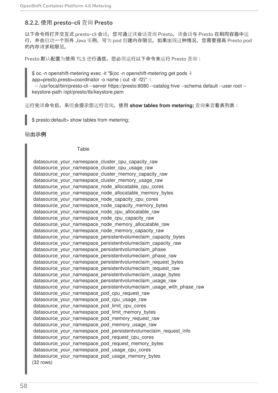# <span id="page-61-0"></span>8.2.2. 使用 presto-cli 查询 Presto

以下命令将打开交互式 presto-cli 会话,您可通过该会话查询 Presto。该会话与 Presto 在相同容器中运 行, 并会启动一个额外 Java 实例, 可为 pod 创建内存限值。如果出现这种情况, 您需要提高 Presto pod 的内存请求和限值。

Presto 默认配置为使用 TLS 进行通信。您必须运行以下命令来运行 Presto 查询:

\$ oc -n openshift-metering exec -it "\$(oc -n openshift-metering get pods -l app=presto,presto=coordinator -o name | cut -d/ -f2)" \ -- /usr/local/bin/presto-cli --server https://presto:8080 --catalog hive --schema default --user root - keystore-path /opt/presto/tls/keystore.pem

运行完该命令后,系统会提示您运行查询。使用 **show tables from metering;** 查询来查看表列表:

\$ presto:default> show tables from metering;

### 输出示例

#### **Table**

| datasource_your_namespace_cluster_cpu_capacity_raw                   |
|----------------------------------------------------------------------|
| datasource_your_namespace_cluster_cpu_usage_raw                      |
| datasource_your_namespace_cluster_memory_capacity_raw                |
| datasource_your_namespace_cluster_memory_usage_raw                   |
| datasource_your_namespace_node_allocatable_cpu_cores                 |
| datasource_your_namespace_node_allocatable_memory_bytes              |
| datasource_your_namespace_node_capacity_cpu_cores                    |
| datasource_your_namespace_node_capacity_memory_bytes                 |
| datasource_your_namespace_node_cpu_allocatable_raw                   |
| datasource_your_namespace_node_cpu_capacity_raw                      |
| datasource_your_namespace_node_memory_allocatable_raw                |
| datasource_your_namespace_node_memory_capacity_raw                   |
| datasource_your_namespace_persistentvolumeclaim_capacity_bytes       |
| datasource_your_namespace_persistentvolumeclaim_capacity_raw         |
| datasource_your_namespace_persistentvolumeclaim_phase                |
| datasource_your_namespace_persistentvolumeclaim_phase_raw            |
| datasource_your_namespace_persistentvolumeclaim_request_bytes        |
| datasource_your_namespace_persistentvolumeclaim_request_raw          |
| datasource_your_namespace_persistentvolumeclaim_usage_bytes          |
| datasource_your_namespace_persistentvolumeclaim_usage_raw            |
| datasource_your_namespace_persistentvolumeclaim_usage_with_phase_raw |
| datasource_your_namespace_pod_cpu_request_raw                        |
| datasource_your_namespace_pod_cpu_usage_raw                          |
| datasource_your_namespace_pod_limit_cpu_cores                        |
| datasource_your_namespace_pod_limit_memory_bytes                     |
| datasource_your_namespace_pod_memory_request_raw                     |
| datasource_your_namespace_pod_memory_usage_raw                       |
| datasource_your_namespace_pod_persistentvolumeclaim_request_info     |
| datasource_your_namespace_pod_request_cpu_cores                      |
| datasource_your_namespace_pod_request_memory_bytes                   |
| datasource_your_namespace_pod_usage_cpu_cores                        |
| datasource_your_namespace_pod_usage_memory_bytes                     |
| $(32$ rows)                                                          |
|                                                                      |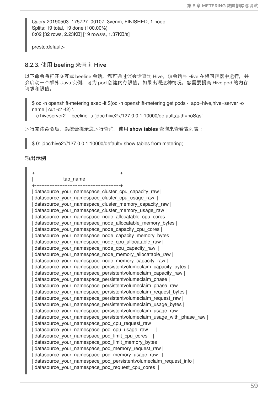Query 20190503\_175727\_00107\_3venm, FINISHED, 1 node Splits: 19 total, 19 done (100.00%) 0:02 [32 rows, 2.23KB] [19 rows/s, 1.37KB/s]

presto:default>

### <span id="page-62-0"></span>8.2.3. 使用 beeling 来查询 Hive

以下命令将打开交互式 beeline 会话,您可通过该会话查询 Hive。该会话与 Hive 在相同容器中运行, 并 会启动一个额外 Java 实例, 可为 pod 创建内存限值。如果出现这种情况, 您需要提高 Hive pod 的内存 请求和限值。

\$ oc -n openshift-metering exec -it \$(oc -n openshift-metering get pods -l app=hive,hive=server -o name  $|$  cut -d/ -f2)  $\setminus$ 

-c hiveserver2 -- beeline -u 'jdbc:hive2://127.0.0.1:10000/default;auth=noSasl'

运行完该命令后,系统会提示您运行查询。使用 **show tables** 查询来查看表列表:

\$ 0: jdbc:hive2://127.0.0.1:10000/default> show tables from metering;

### 输出示例

+----------------------------------------------------+ | tab name |

| datasource_your_namespace_cluster_cpu_capacity_raw                   |
|----------------------------------------------------------------------|
| datasource_your_namespace_cluster_cpu_usage_raw                      |
| datasource_your_namespace_cluster_memory_capacity_raw                |
| datasource_your_namespace_cluster_memory_usage_raw                   |
| datasource_your_namespace_node_allocatable_cpu_cores                 |
| datasource_your_namespace_node_allocatable_memory_bytes              |
| datasource_your_namespace_node_capacity_cpu_cores                    |
| datasource_your_namespace_node_capacity_memory_bytes                 |
| datasource_your_namespace_node_cpu_allocatable_raw                   |
| datasource_your_namespace_node_cpu_capacity_raw                      |
| datasource_your_namespace_node_memory_allocatable_raw                |
| datasource_your_namespace_node_memory_capacity_raw                   |
| datasource_your_namespace_persistentvolumeclaim_capacity_bytes       |
| datasource_your_namespace_persistentvolumeclaim_capacity_raw         |
| datasource_your_namespace_persistentvolumeclaim_phase                |
| datasource_your_namespace_persistentvolumeclaim_phase_raw            |
| datasource_your_namespace_persistentvolumeclaim_request_bytes        |
| datasource_your_namespace_persistentvolumeclaim_request_raw          |
| datasource_your_namespace_persistentvolumeclaim_usage_bytes          |
| datasource_your_namespace_persistentvolumeclaim_usage_raw            |
| datasource_your_namespace_persistentvolumeclaim_usage_with_phase_raw |
| datasource_your_namespace_pod_cpu_request_raw                        |
| datasource_your_namespace_pod_cpu_usage_raw                          |
| datasource_your_namespace_pod_limit_cpu_cores                        |
| datasource_your_namespace_pod_limit_memory_bytes                     |
| datasource_your_namespace_pod_memory_request_raw                     |
| datasource_your_namespace_pod_memory_usage_raw                       |
| datasource_your_namespace_pod_persistentvolumeclaim_request_info     |
| datasource_your_namespace_pod_request_cpu_cores                      |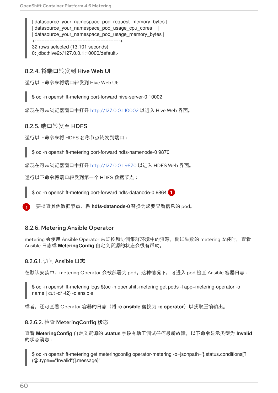| datasource\_your\_namespace\_pod\_request\_memory\_bytes | | datasource\_your\_namespace\_pod\_usage\_cpu\_cores | | datasource\_your\_namespace\_pod\_usage\_memory\_bytes | +----------------------------------------------------+

32 rows selected (13.101 seconds) 0: jdbc:hive2://127.0.0.1:10000/default>

# <span id="page-63-0"></span>8.2.4. 将端口转发到 Hive Web UI

运行以下命令来将端口转发到 Hive Web UI:

\$ oc -n openshift-metering port-forward hive-server-0 10002

您现在可从浏览器窗口中打开 <http://127.0.0.1:10002> 以进入 Hive Web 界面。

### <span id="page-63-1"></span>8.2.5. 端口转发至 HDFS

运行以下命令来将 HDFS 名称节点转发到端口:

\$ oc -n openshift-metering port-forward hdfs-namenode-0 9870

您现在可从浏览器窗口中打开 <http://127.0.0.1:9870> 以进入 HDFS Web 界面。

运行以下命令将端口转发到第一个 HDFS 数据节点:

<span id="page-63-5"></span>\$ oc -n openshift-metering port-forward hdfs-datanode-0 9864 **1**

[1](#page-63-5) 要检查其他数据节点,将 **hdfs-datanode-0** 替换为您要查看信息的 pod。

## <span id="page-63-2"></span>8.2.6. Metering Ansible Operator

metering 会使用 Ansible Operator 来监控和协调集群环境中的资源。调试失败的 metering 安装时,查看 Ansible 日志或 **MeteringConfig** 自定义资源的状态会很有帮助。

### <span id="page-63-3"></span>8.2.6.1. 访问 Ansible 日志

在默认安装中, metering Operator 会被部署为 pod。这种情况下, 可进入 pod 检查 Ansible 容器日志:

\$ oc -n openshift-metering logs \$(oc -n openshift-metering get pods -l app=metering-operator -o name | cut -d/ -f2) -c ansible

ad Soperator 容器的日志(将-c ansible 替换为-c operator)以获取压缩输出。

### <span id="page-63-4"></span>8.2.6.2. 检查 MeteringConfig 状态

查看 **MeteringConfig** 自定义资源的 **.status** 字段有助于调试任何最新故障。以下命令显示类型为 **Invalid** 的状态消息:

\$ oc -n openshift-metering get meteringconfig operator-metering -o=jsonpath='{.status.conditions[? (@.type=="Invalid")].message}'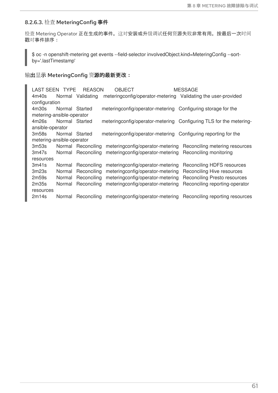### <span id="page-64-0"></span>8.2.6.3. 检查 MeteringConfig 事件

检查 Metering Operator 正在生成的事件。这对安装或升级调试任何资源失败非常有用。按最后一次时间 戳对事件排序:

\$ oc -n openshift-metering get events --field-selector involvedObject.kind=MeteringConfig --sortby='.lastTimestamp'

### 输出显示 MeteringConfig 资源的最新更改:

| <b>LAST SEEN TYPE</b>     |                | <b>REASON</b>      | <b>OBJECT</b>                                                   |  | MESSAGE                             |
|---------------------------|----------------|--------------------|-----------------------------------------------------------------|--|-------------------------------------|
| 4m40s                     | Normal         | Validating         | meteringconfig/operator-metering Validating the user-provided   |  |                                     |
| configuration             |                |                    |                                                                 |  |                                     |
| 4 <sub>m30s</sub>         | Normal         | Started            | meteringconfig/operator-metering Configuring storage for the    |  |                                     |
| metering-ansible-operator |                |                    |                                                                 |  |                                     |
| 4m26s                     | Normal Started |                    | meteringconfig/operator-metering                                |  | Configuring TLS for the metering-   |
| ansible-operator          |                |                    |                                                                 |  |                                     |
| 3m58s                     | Normal         | Started            | metering config/operator-metering Configuring reporting for the |  |                                     |
| metering-ansible-operator |                |                    |                                                                 |  |                                     |
| 3m53s                     |                | Normal Reconciling | meteringconfig/operator-metering                                |  | Reconciling metering resources      |
| 3m47s                     | Normal         | Reconciling        | meteringconfig/operator-metering                                |  | Reconciling monitoring              |
| resources                 |                |                    |                                                                 |  |                                     |
| 3m41s                     | Normal         | Reconciling        | meteringconfig/operator-metering                                |  | <b>Reconciling HDFS resources</b>   |
| 3m23s                     | Normal         | Reconciling        | meteringconfig/operator-metering                                |  | Reconciling Hive resources          |
| 2m59s                     | Normal         | Reconciling        | meteringconfig/operator-metering                                |  | <b>Reconciling Presto resources</b> |
| 2m35s                     | Normal         | Reconciling        | meteringconfig/operator-metering                                |  | Reconciling reporting-operator      |
| resources                 |                |                    |                                                                 |  |                                     |
| 2m14s                     | Normal         | Reconciling        | meteringconfig/operator-metering                                |  | Reconciling reporting resources     |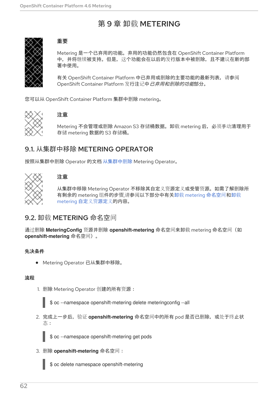# 第 9 章 卸载 METERING

<span id="page-65-0"></span>

# 重要

Metering 是一个已弃用的功能。弃用的功能仍然包含在 OpenShift Container Platform 中,并将继续被支持。但是,这个功能会在以后的发行版本中被删除,且不建议在新的部 署中使用。

有关 OpenShift Container Platform 中已弃用或删除的主要功能的最新列表,请参阅 OpenShift Container Platform 发行注记中*已弃用和删除的功能*部分。

您可以从 OpenShift Container Platform 集群中删除 metering。



# 注意

Metering 不会管理或删除 Amazon S3 存储桶数据。卸载 metering 后, 必须手动清理用于 存储 metering 数据的 S3 存储桶。

# <span id="page-65-1"></span>9.1. 从集群中移除 METERING OPERATOR

按照从集群中删除 Operator 的文档 [从集群中](https://access.redhat.com/documentation/en-us/openshift_container_platform/4.6/html-single/operators/#olm-deleting-operators-from-a-cluster)删除 Metering Operator。



# 注意

从集群中移除 Metering Operator 不移除其自定义资源定义或受管资源。如需了解删除所 有剩余的 metering 组件的步骤,请参阅[以下部分中有关卸](https://access.redhat.com/documentation/en-us/openshift_container_platform/4.6/html-single/metering/#metering-uninstall-crds_metering-uninstall)载 [metering](https://access.redhat.com/documentation/en-us/openshift_container_platform/4.6/html-single/metering/#metering-uninstall_metering-uninstall) 命名空间和卸载 metering 自定义资源定义的内容。

# <span id="page-65-2"></span>9.2. 卸载 METERING 命名空间

通过删除 **MeteringConfig** 资源并删除 **openshift-metering** 命名空间来卸载 metering 命名空间(如 **openshift-metering** 命名空间)。

## 先决条件

Metering Operator 已从集群中移除。

### 流程

1. 删除 Metering Operator 创建的所有资源:

\$ oc --namespace openshift-metering delete meteringconfig --all

2. 完成上一步后,验证 **openshift-metering** 命名空间中的所有 pod 是否已删除,或处于终止状 态:



- \$ oc --namespace openshift-metering get pods
- 3. 删除 **openshift-metering** 命名空间:

\$ oc delete namespace openshift-metering